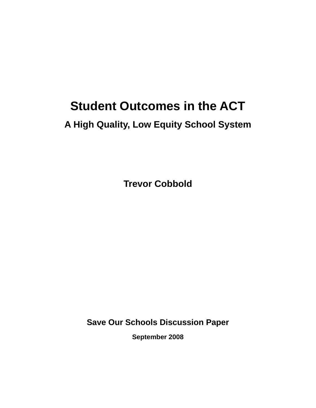# **Student Outcomes in the ACT**

# **A High Quality, Low Equity School System**

**Trevor Cobbold** 

**Save Our Schools Discussion Paper** 

**September 2008**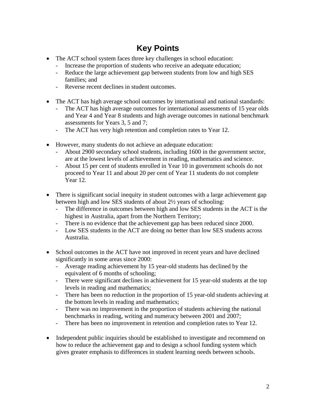## **Key Points**

- The ACT school system faces three key challenges in school education:
	- Increase the proportion of students who receive an adequate education;
	- Reduce the large achievement gap between students from low and high SES families; and
	- Reverse recent declines in student outcomes.
- The ACT has high average school outcomes by international and national standards:
	- The ACT has high average outcomes for international assessments of 15 year olds and Year 4 and Year 8 students and high average outcomes in national benchmark assessments for Years 3, 5 and 7;
	- The ACT has very high retention and completion rates to Year 12.
- However, many students do not achieve an adequate education:
	- About 2900 secondary school students, including 1600 in the government sector, are at the lowest levels of achievement in reading, mathematics and science.
	- About 15 per cent of students enrolled in Year 10 in government schools do not proceed to Year 11 and about 20 per cent of Year 11 students do not complete Year 12.
- There is significant social inequity in student outcomes with a large achievement gap between high and low SES students of about 2½ years of schooling:
	- The difference in outcomes between high and low SES students in the ACT is the highest in Australia, apart from the Northern Territory;
	- There is no evidence that the achievement gap has been reduced since 2000.
	- Low SES students in the ACT are doing no better than low SES students across Australia.
- School outcomes in the ACT have not improved in recent years and have declined significantly in some areas since 2000:
	- Average reading achievement by 15 year-old students has declined by the equivalent of 6 months of schooling;
	- There were significant declines in achievement for 15 year-old students at the top levels in reading and mathematics;
	- There has been no reduction in the proportion of 15 year-old students achieving at the bottom levels in reading and mathematics;
	- There was no improvement in the proportion of students achieving the national benchmarks in reading, writing and numeracy between 2001 and 2007;
	- There has been no improvement in retention and completion rates to Year 12.
- Independent public inquiries should be established to investigate and recommend on how to reduce the achievement gap and to design a school funding system which gives greater emphasis to differences in student learning needs between schools.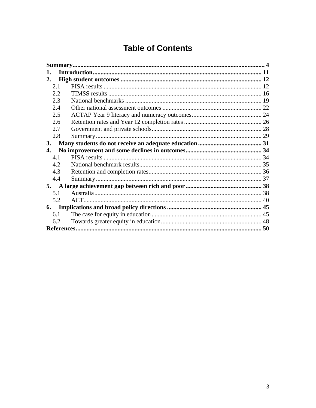## **Table of Contents**

| 1.        |  |
|-----------|--|
| 2.        |  |
| 2.1       |  |
| 2.2       |  |
| 2.3       |  |
| 2.4       |  |
| 2.5       |  |
| 2.6       |  |
| 2.7       |  |
| 2.8       |  |
| <b>3.</b> |  |
| 4.        |  |
| 4.1       |  |
| 4.2       |  |
| 4.3       |  |
| 4.4       |  |
| 5.        |  |
| 5.1       |  |
| 5.2       |  |
| 6.        |  |
| 6.1       |  |
| 6.2       |  |
|           |  |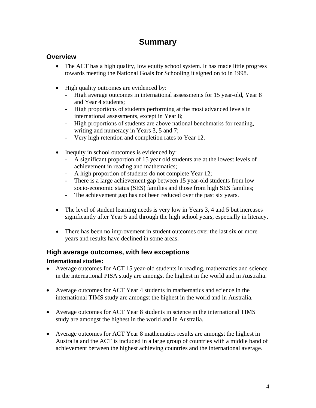## **Summary**

#### <span id="page-3-0"></span>**Overview**

- The ACT has a high quality, low equity school system. It has made little progress towards meeting the National Goals for Schooling it signed on to in 1998.
- High quality outcomes are evidenced by:
	- High average outcomes in international assessments for 15 year-old, Year 8 and Year 4 students;
	- High proportions of students performing at the most advanced levels in international assessments, except in Year 8;
	- High proportions of students are above national benchmarks for reading, writing and numeracy in Years 3, 5 and 7;
	- Very high retention and completion rates to Year 12.
- Inequity in school outcomes is evidenced by:
	- A significant proportion of 15 year old students are at the lowest levels of achievement in reading and mathematics;
	- A high proportion of students do not complete Year 12;
	- There is a large achievement gap between 15 year-old students from low socio-economic status (SES) families and those from high SES families;
	- The achievement gap has not been reduced over the past six years.
- The level of student learning needs is very low in Years 3, 4 and 5 but increases significantly after Year 5 and through the high school years, especially in literacy.
- There has been no improvement in student outcomes over the last six or more years and results have declined in some areas.

#### **High average outcomes, with few exceptions**

#### **International studies:**

- Average outcomes for ACT 15 year-old students in reading, mathematics and science in the international PISA study are amongst the highest in the world and in Australia.
- Average outcomes for ACT Year 4 students in mathematics and science in the international TIMS study are amongst the highest in the world and in Australia.
- Average outcomes for ACT Year 8 students in science in the international TIMS study are amongst the highest in the world and in Australia.
- Average outcomes for ACT Year 8 mathematics results are amongst the highest in Australia and the ACT is included in a large group of countries with a middle band of achievement between the highest achieving countries and the international average.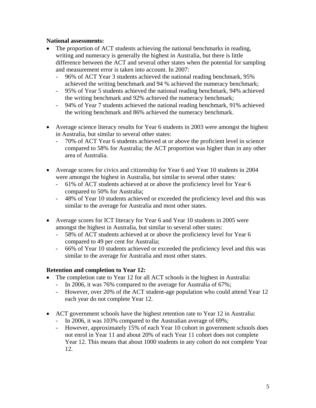#### **National assessments:**

- The proportion of ACT students achieving the national benchmarks in reading, writing and numeracy is generally the highest in Australia, but there is little difference between the ACT and several other states when the potential for sampling and measurement error is taken into account. In 2007:
	- 96% of ACT Year 3 students achieved the national reading benchmark, 95% achieved the writing benchmark and 94 % achieved the numeracy benchmark;
	- 95% of Year 5 students achieved the national reading benchmark, 94% achieved the writing benchmark and 92% achieved the numeracy benchmark;
	- 94% of Year 7 students achieved the national reading benchmark, 91% achieved the writing benchmark and 86% achieved the numeracy benchmark.
- Average science literacy results for Year 6 students in 2003 were amongst the highest in Australia, but similar to several other states:
	- 70% of ACT Year 6 students achieved at or above the proficient level in science compared to 58% for Australia; the ACT proportion was higher than in any other area of Australia.
- Average scores for civics and citizenship for Year 6 and Year 10 students in 2004 were amongst the highest in Australia, but similar to several other states:
	- 61% of ACT students achieved at or above the proficiency level for Year 6 compared to 50% for Australia;
	- 48% of Year 10 students achieved or exceeded the proficiency level and this was similar to the average for Australia and most other states.
- Average scores for ICT literacy for Year 6 and Year 10 students in 2005 were amongst the highest in Australia, but similar to several other states:
	- 58% of ACT students achieved at or above the proficiency level for Year 6 compared to 49 per cent for Australia;
	- 66% of Year 10 students achieved or exceeded the proficiency level and this was similar to the average for Australia and most other states.

#### **Retention and completion to Year 12:**

- The completion rate to Year 12 for all ACT schools is the highest in Australia:
	- In 2006, it was 76% compared to the average for Australia of 67%;
	- However, over 20% of the ACT student-age population who could attend Year 12 each year do not complete Year 12.
- ACT government schools have the highest retention rate to Year 12 in Australia:
	- In 2006, it was 103% compared to the Australian average of 69%;
	- However, approximately 15% of each Year 10 cohort in government schools does not enrol in Year 11 and about 20% of each Year 11 cohort does not complete Year 12. This means that about 1000 students in any cohort do not complete Year 12.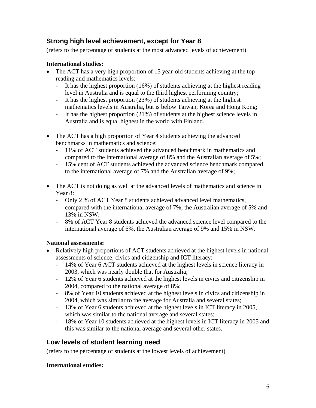#### **Strong high level achievement, except for Year 8**

(refers to the percentage of students at the most advanced levels of achievement)

#### **International studies:**

- The ACT has a very high proportion of 15 year-old students achieving at the top reading and mathematics levels:
	- It has the highest proportion (16%) of students achieving at the highest reading level in Australia and is equal to the third highest performing country;
	- It has the highest proportion (23%) of students achieving at the highest mathematics levels in Australia, but is below Taiwan, Korea and Hong Kong;
	- It has the highest proportion (21%) of students at the highest science levels in Australia and is equal highest in the world with Finland.
- The ACT has a high proportion of Year 4 students achieving the advanced benchmarks in mathematics and science:
	- 11% of ACT students achieved the advanced benchmark in mathematics and compared to the international average of 8% and the Australian average of 5%;
	- 15% cent of ACT students achieved the advanced science benchmark compared to the international average of 7% and the Australian average of 9%;
- The ACT is not doing as well at the advanced levels of mathematics and science in Year 8:
	- Only 2 % of ACT Year 8 students achieved advanced level mathematics, compared with the international average of 7%, the Australian average of 5% and 13% in NSW;
	- 8% of ACT Year 8 students achieved the advanced science level compared to the international average of 6%, the Australian average of 9% and 15% in NSW.

#### **National assessments:**

- Relatively high proportions of ACT students achieved at the highest levels in national assessments of science; civics and citizenship and ICT literacy:
	- 14% of Year 6 ACT students achieved at the highest levels in science literacy in 2003, which was nearly double that for Australia;
	- 12% of Year 6 students achieved at the highest levels in civics and citizenship in 2004, compared to the national average of 8%;
	- 8% of Year 10 students achieved at the highest levels in civics and citizenship in 2004, which was similar to the average for Australia and several states;
	- 13% of Year 6 students achieved at the highest levels in ICT literacy in 2005, which was similar to the national average and several states;
	- 18% of Year 10 students achieved at the highest levels in ICT literacy in 2005 and this was similar to the national average and several other states.

### **Low levels of student learning need**

(refers to the percentage of students at the lowest levels of achievement)

#### **International studies:**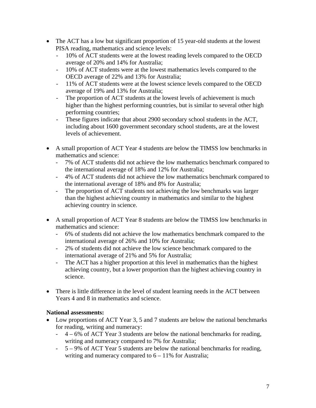- The ACT has a low but significant proportion of 15 year-old students at the lowest PISA reading, mathematics and science levels:
	- 10% of ACT students were at the lowest reading levels compared to the OECD average of 20% and 14% for Australia;
	- 10% of ACT students were at the lowest mathematics levels compared to the OECD average of 22% and 13% for Australia;
	- 11% of ACT students were at the lowest science levels compared to the OECD average of 19% and 13% for Australia;
	- The proportion of ACT students at the lowest levels of achievement is much higher than the highest performing countries, but is similar to several other high performing countries;
	- These figures indicate that about 2900 secondary school students in the ACT, including about 1600 government secondary school students, are at the lowest levels of achievement.
- A small proportion of ACT Year 4 students are below the TIMSS low benchmarks in mathematics and science:
	- 7% of ACT students did not achieve the low mathematics benchmark compared to the international average of 18% and 12% for Australia;
	- 4% of ACT students did not achieve the low mathematics benchmark compared to the international average of 18% and 8% for Australia;
	- The proportion of ACT students not achieving the low benchmarks was larger than the highest achieving country in mathematics and similar to the highest achieving country in science.
- A small proportion of ACT Year 8 students are below the TIMSS low benchmarks in mathematics and science:
	- 6% of students did not achieve the low mathematics benchmark compared to the international average of 26% and 10% for Australia;
	- 2% of students did not achieve the low science benchmark compared to the international average of 21% and 5% for Australia;
	- The ACT has a higher proportion at this level in mathematics than the highest achieving country, but a lower proportion than the highest achieving country in science.
- There is little difference in the level of student learning needs in the ACT between Years 4 and 8 in mathematics and science.

#### **National assessments:**

- Low proportions of ACT Year 3, 5 and 7 students are below the national benchmarks for reading, writing and numeracy:
	- 4 6% of ACT Year 3 students are below the national benchmarks for reading, writing and numeracy compared to 7% for Australia;
	- 5 9% of ACT Year 5 students are below the national benchmarks for reading, writing and numeracy compared to  $6 - 11\%$  for Australia;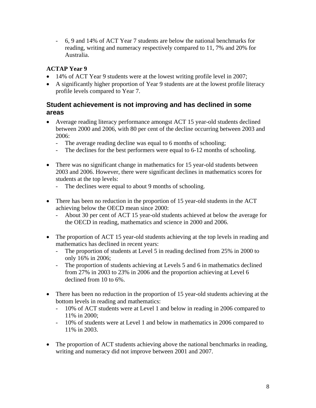- 6, 9 and 14% of ACT Year 7 students are below the national benchmarks for reading, writing and numeracy respectively compared to 11, 7% and 20% for Australia.

#### **ACTAP Year 9**

- 14% of ACT Year 9 students were at the lowest writing profile level in 2007;
- A significantly higher proportion of Year 9 students are at the lowest profile literacy profile levels compared to Year 7.

#### **Student achievement is not improving and has declined in some areas**

- Average reading literacy performance amongst ACT 15 year-old students declined between 2000 and 2006, with 80 per cent of the decline occurring between 2003 and 2006:
	- The average reading decline was equal to 6 months of schooling;
	- The declines for the best performers were equal to 6-12 months of schooling.
- There was no significant change in mathematics for 15 year-old students between 2003 and 2006. However, there were significant declines in mathematics scores for students at the top levels:
	- The declines were equal to about 9 months of schooling.
- There has been no reduction in the proportion of 15 year-old students in the ACT achieving below the OECD mean since 2000:
	- About 30 per cent of ACT 15 year-old students achieved at below the average for the OECD in reading, mathematics and science in 2000 and 2006.
- The proportion of ACT 15 year-old students achieving at the top levels in reading and mathematics has declined in recent years:
	- The proportion of students at Level 5 in reading declined from 25% in 2000 to only 16% in 2006;
	- The proportion of students achieving at Levels 5 and 6 in mathematics declined from 27% in 2003 to 23% in 2006 and the proportion achieving at Level 6 declined from 10 to 6%.
- There has been no reduction in the proportion of 15 year-old students achieving at the bottom levels in reading and mathematics:
	- 10% of ACT students were at Level 1 and below in reading in 2006 compared to 11% in 2000;
	- 10% of students were at Level 1 and below in mathematics in 2006 compared to 11% in 2003.
- The proportion of ACT students achieving above the national benchmarks in reading, writing and numeracy did not improve between 2001 and 2007.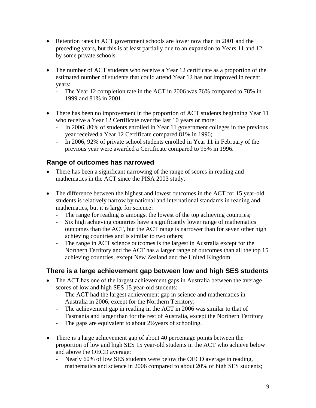- Retention rates in ACT government schools are lower now than in 2001 and the preceding years, but this is at least partially due to an expansion to Years 11 and 12 by some private schools.
- The number of ACT students who receive a Year 12 certificate as a proportion of the estimated number of students that could attend Year 12 has not improved in recent years:
	- The Year 12 completion rate in the ACT in 2006 was 76% compared to 78% in 1999 and 81% in 2001.
- There has been no improvement in the proportion of ACT students beginning Year 11 who receive a Year 12 Certificate over the last 10 years or more:
	- In 2006, 80% of students enrolled in Year 11 government colleges in the previous year received a Year 12 Certificate compared 81% in 1996;
	- In 2006, 92% of private school students enrolled in Year 11 in February of the previous year were awarded a Certificate compared to 95% in 1996.

#### **Range of outcomes has narrowed**

- There has been a significant narrowing of the range of scores in reading and mathematics in the ACT since the PISA 2003 study.
- The difference between the highest and lowest outcomes in the ACT for 15 year-old students is relatively narrow by national and international standards in reading and mathematics, but it is large for science:
	- The range for reading is amongst the lowest of the top achieving countries;
	- Six high achieving countries have a significantly lower range of mathematics outcomes than the ACT, but the ACT range is narrower than for seven other high achieving countries and is similar to two others;
	- The range in ACT science outcomes is the largest in Australia except for the Northern Territory and the ACT has a larger range of outcomes than all the top 15 achieving countries, except New Zealand and the United Kingdom.

#### **There is a large achievement gap between low and high SES students**

- The ACT has one of the largest achievement gaps in Australia between the average scores of low and high SES 15 year-old students:
	- The ACT had the largest achievement gap in science and mathematics in Australia in 2006, except for the Northern Territory;
	- The achievement gap in reading in the ACT in 2006 was similar to that of Tasmania and larger than for the rest of Australia, except the Northern Territory
	- The gaps are equivalent to about 2½years of schooling.
- There is a large achievement gap of about 40 percentage points between the proportion of low and high SES 15 year-old students in the ACT who achieve below and above the OECD average:
	- Nearly 60% of low SES students were below the OECD average in reading, mathematics and science in 2006 compared to about 20% of high SES students;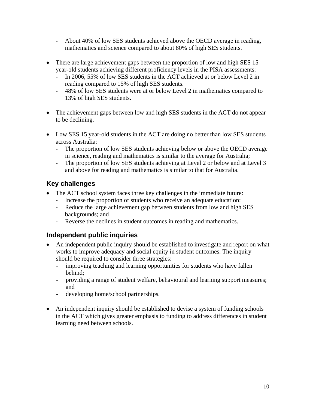- About 40% of low SES students achieved above the OECD average in reading, mathematics and science compared to about 80% of high SES students.
- There are large achievement gaps between the proportion of low and high SES 15 year-old students achieving different proficiency levels in the PISA assessments:
	- In 2006, 55% of low SES students in the ACT achieved at or below Level 2 in reading compared to 15% of high SES students.
	- 48% of low SES students were at or below Level 2 in mathematics compared to 13% of high SES students.
- The achievement gaps between low and high SES students in the ACT do not appear to be declining.
- Low SES 15 year-old students in the ACT are doing no better than low SES students across Australia:
	- The proportion of low SES students achieving below or above the OECD average in science, reading and mathematics is similar to the average for Australia;
	- The proportion of low SES students achieving at Level 2 or below and at Level 3 and above for reading and mathematics is similar to that for Australia.

#### **Key challenges**

- The ACT school system faces three key challenges in the immediate future:
	- Increase the proportion of students who receive an adequate education;
	- Reduce the large achievement gap between students from low and high SES backgrounds; and
	- Reverse the declines in student outcomes in reading and mathematics.

#### **Independent public inquiries**

- An independent public inquiry should be established to investigate and report on what works to improve adequacy and social equity in student outcomes. The inquiry should be required to consider three strategies:
	- improving teaching and learning opportunities for students who have fallen behind;
	- providing a range of student welfare, behavioural and learning support measures; and
	- developing home/school partnerships.
- An independent inquiry should be established to devise a system of funding schools in the ACT which gives greater emphasis to funding to address differences in student learning need between schools.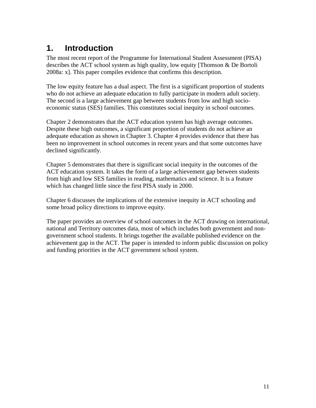## <span id="page-10-0"></span>**1. Introduction**

The most recent report of the Programme for International Student Assessment (PISA) describes the ACT school system as high quality, low equity [Thomson & De Bortoli 2008a: x]. This paper compiles evidence that confirms this description.

The low equity feature has a dual aspect. The first is a significant proportion of students who do not achieve an adequate education to fully participate in modern adult society. The second is a large achievement gap between students from low and high socioeconomic status (SES) families. This constitutes social inequity in school outcomes.

Chapter 2 demonstrates that the ACT education system has high average outcomes. Despite these high outcomes, a significant proportion of students do not achieve an adequate education as shown in Chapter 3. Chapter 4 provides evidence that there has been no improvement in school outcomes in recent years and that some outcomes have declined significantly.

Chapter 5 demonstrates that there is significant social inequity in the outcomes of the ACT education system. It takes the form of a large achievement gap between students from high and low SES families in reading, mathematics and science. It is a feature which has changed little since the first PISA study in 2000.

Chapter 6 discusses the implications of the extensive inequity in ACT schooling and some broad policy directions to improve equity.

The paper provides an overview of school outcomes in the ACT drawing on international, national and Territory outcomes data, most of which includes both government and nongovernment school students. It brings together the available published evidence on the achievement gap in the ACT. The paper is intended to inform public discussion on policy and funding priorities in the ACT government school system.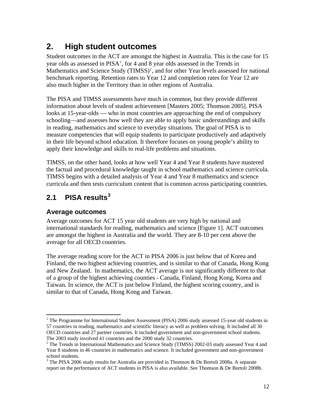## <span id="page-11-0"></span>**2. High student outcomes**

Student outcomes in the ACT are amongst the highest in Australia. This is the case for 15 year olds as assessed in PISA<sup>[1](#page-11-1)</sup>, for 4 and 8 year olds assessed in the Trends in Mathematics and Science Study (TIMSS)<sup>[2](#page-11-2)</sup>, and for other Year levels assessed for national benchmark reporting. Retention rates to Year 12 and completion rates for Year 12 are also much higher in the Territory than in other regions of Australia.

The PISA and TIMSS assessments have much in common, but they provide different information about levels of student achievement [Masters 2005; Thomson 2005]. PISA looks at 15-year-olds — who in most countries are approaching the end of compulsory schooling—and assesses how well they are able to apply basic understandings and skills in reading, mathematics and science to everyday situations. The goal of PISA is to measure competencies that will equip students to participate productively and adaptively in their life beyond school education. It therefore focuses on young people's ability to apply their knowledge and skills to real-life problems and situations.

TIMSS, on the other hand, looks at how well Year 4 and Year 8 students have mastered the factual and procedural knowledge taught in school mathematics and science curricula. TIMSS begins with a detailed analysis of Year 4 and Year 8 mathematics and science curricula and then tests curriculum content that is common across participating countries.

## **2.1 PISA results[3](#page-11-3)**

#### **Average outcomes**

Average outcomes for ACT 15 year old students are very high by national and international standards for reading, mathematics and science [Figure 1]. ACT outcomes are amongst the highest in Australia and the world. They are 8-10 per cent above the average for all OECD countries.

The average reading score for the ACT in PISA 2006 is just below that of Korea and Finland, the two highest achieving countries, and is similar to that of Canada, Hong Kong and New Zealand. In mathematics, the ACT average is not significantly different to that of a group of the highest achieving counties - Canada, Finland, Hong Kong, Korea and Taiwan. In science, the ACT is just below Finland, the highest scoring country, and is similar to that of Canada, Hong Kong and Taiwan.

<span id="page-11-1"></span> $\overline{a}$ <sup>1</sup> The Programme for International Student Assessment (PISA) 2006 study assessed 15-year old students in 57 countries in reading, mathematics and scientific literacy as well as problem solving. It included all 30 OECD countries and 27 partner countries. It included government and non-government school students. The 2003 study involved 41 countries and the 2000 study 32 countries.

<span id="page-11-2"></span> $2$  The Trends in International Mathematics and Science Study (TIMSS) 2002-03 study assessed Year 4 and Year 8 students in 46 countries in mathematics and science. It included government and non-government school students.

<span id="page-11-3"></span><sup>&</sup>lt;sup>3</sup> The PISA 2006 study results for Australia are provided in Thomson & De Bortoli 2008a. A separate report on the performance of ACT students in PISA is also available. See Thomson & De Bortoli 2008b.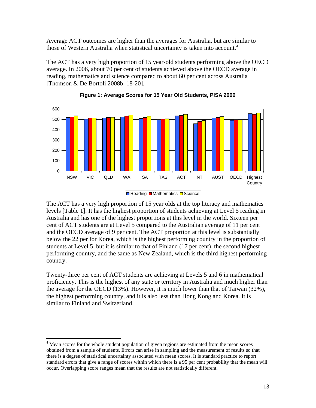Average ACT outcomes are higher than the averages for Australia, but are similar to those of Western Australia when statistical uncertainty is taken into account.[4](#page-12-0)

The ACT has a very high proportion of 15 year-old students performing above the OECD average. In 2006, about 70 per cent of students achieved above the OECD average in reading, mathematics and science compared to about 60 per cent across Australia [Thomson & De Bortoli 2008b: 18-20].





The ACT has a very high proportion of 15 year olds at the top literacy and mathematics levels [Table 1]. It has the highest proportion of students achieving at Level 5 reading in Australia and has one of the highest proportions at this level in the world. Sixteen per cent of ACT students are at Level 5 compared to the Australian average of 11 per cent and the OECD average of 9 per cent. The ACT proportion at this level is substantially below the 22 per for Korea, which is the highest performing country in the proportion of students at Level 5, but it is similar to that of Finland (17 per cent), the second highest performing country, and the same as New Zealand, which is the third highest performing country.

Twenty-three per cent of ACT students are achieving at Levels 5 and 6 in mathematical proficiency. This is the highest of any state or territory in Australia and much higher than the average for the OECD (13%). However, it is much lower than that of Taiwan (32%), the highest performing country, and it is also less than Hong Kong and Korea. It is similar to Finland and Switzerland.

<span id="page-12-0"></span><sup>&</sup>lt;sup>4</sup> Mean scores for the whole student population of given regions are estimated from the mean scores obtained from a sample of students. Errors can arise in sampling and the measurement of results so that there is a degree of statistical uncertainty associated with mean scores. It is standard practice to report standard errors that give a range of scores within which there is a 95 per cent probability that the mean will occur. Overlapping score ranges mean that the results are not statistically different.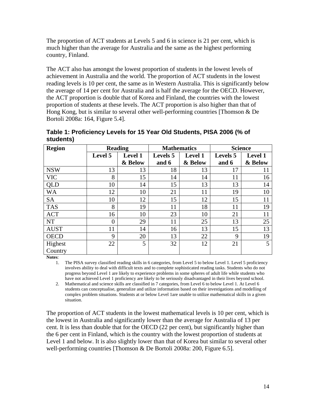The proportion of ACT students at Levels 5 and 6 in science is 21 per cent, which is much higher than the average for Australia and the same as the highest performing country, Finland.

The ACT also has amongst the lowest proportion of students in the lowest levels of achievement in Australia and the world. The proportion of ACT students in the lowest reading levels is 10 per cent, the same as in Western Australia. This is significantly below the average of 14 per cent for Australia and is half the average for the OECD. However, the ACT proportion is double that of Korea and Finland, the countries with the lowest proportion of students at these levels. The ACT proportion is also higher than that of Hong Kong, but is similar to several other well-performing countries [Thomson & De Bortoli 2008a: 164, Figure 5.4].

| <b>Region</b> |                | <b>Reading</b><br><b>Mathematics</b> |                 |                | <b>Science</b>  |                |  |  |
|---------------|----------------|--------------------------------------|-----------------|----------------|-----------------|----------------|--|--|
|               | Level 5        | <b>Level 1</b>                       | <b>Levels</b> 5 | <b>Level 1</b> | <b>Levels</b> 5 | <b>Level 1</b> |  |  |
|               |                | & Below                              | and 6           | & Below        | and 6           | & Below        |  |  |
| <b>NSW</b>    | 13             | 13                                   | 18              | 13             | 17              | 11             |  |  |
| <b>VIC</b>    | 8              | 15                                   | 14              | 14             | 11              | 16             |  |  |
| QLD           | 10             | 14                                   | 15              | 13             | 13              | 14             |  |  |
| <b>WA</b>     | 12             | 10                                   | 21              | 11             | 19              | 10             |  |  |
| <b>SA</b>     | 10             | 12                                   | 15              | 12             | 15              | 11             |  |  |
| <b>TAS</b>    | 8              | 19                                   | 11              | 18             | 11              | 19             |  |  |
| <b>ACT</b>    | 16             | 10                                   | 23              | 10             | 21              | 11             |  |  |
| <b>NT</b>     | $\overline{0}$ | 29                                   | 11              | 25             | 13              | 25             |  |  |
| <b>AUST</b>   | 11             | 14                                   | 16              | 13             | 15              | 13             |  |  |
| <b>OECD</b>   | 9              | 20                                   | 13              | 22             | 9               | 19             |  |  |
| Highest       | 22             | 5                                    | 32              | 12             | 21              | 5              |  |  |
| Country       |                |                                      |                 |                |                 |                |  |  |

| Table 1: Proficiency Levels for 15 Year Old Students, PISA 2006 (% of |  |
|-----------------------------------------------------------------------|--|
| students)                                                             |  |

**Notes**:

1. The PISA survey classified reading skills in 6 categories, from Level 5 to below Level 1. Level 5 proficiency involves ability to deal with difficult texts and to complete sophisticated reading tasks. Students who do not progress beyond Level 1 are likely to experience problems in some spheres of adult life while students who have not achieved Level 1 proficiency are likely to be seriously disadvantaged in their lives beyond school.

2. Mathematical and science skills are classified in 7 categories, from Level 6 to below Level 1. At Level 6 students can conceptualise, generalize and utilize information based on their investigations and modelling of complex problem situations. Students at or below Level 1are unable to utilize mathematical skills in a given situation.

The proportion of ACT students in the lowest mathematical levels is 10 per cent, which is the lowest in Australia and significantly lower than the average for Australia of 13 per cent. It is less than double that for the OECD (22 per cent), but significantly higher than the 6 per cent in Finland, which is the country with the lowest proportion of students at Level 1 and below. It is also slightly lower than that of Korea but similar to several other well-performing countries [Thomson & De Bortoli 2008a: 200, Figure 6.5].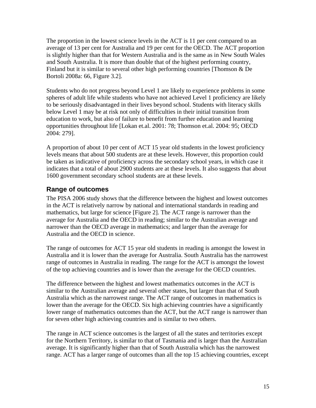The proportion in the lowest science levels in the ACT is 11 per cent compared to an average of 13 per cent for Australia and 19 per cent for the OECD. The ACT proportion is slightly higher than that for Western Australia and is the same as in New South Wales and South Australia. It is more than double that of the highest performing country, Finland but it is similar to several other high performing countries [Thomson & De Bortoli 2008a: 66, Figure 3.2].

Students who do not progress beyond Level 1 are likely to experience problems in some spheres of adult life while students who have not achieved Level 1 proficiency are likely to be seriously disadvantaged in their lives beyond school. Students with literacy skills below Level 1 may be at risk not only of difficulties in their initial transition from education to work, but also of failure to benefit from further education and learning opportunities throughout life [Lokan et.al. 2001: 78; Thomson et.al. 2004: 95; OECD 2004: 279].

A proportion of about 10 per cent of ACT 15 year old students in the lowest proficiency levels means that about 500 students are at these levels. However, this proportion could be taken as indicative of proficiency across the secondary school years, in which case it indicates that a total of about 2900 students are at these levels. It also suggests that about 1600 government secondary school students are at these levels.

### **Range of outcomes**

The PISA 2006 study shows that the difference between the highest and lowest outcomes in the ACT is relatively narrow by national and international standards in reading and mathematics, but large for science [Figure 2]. The ACT range is narrower than the average for Australia and the OECD in reading; similar to the Australian average and narrower than the OECD average in mathematics; and larger than the average for Australia and the OECD in science.

The range of outcomes for ACT 15 year old students in reading is amongst the lowest in Australia and it is lower than the average for Australia. South Australia has the narrowest range of outcomes in Australia in reading. The range for the ACT is amongst the lowest of the top achieving countries and is lower than the average for the OECD countries.

The difference between the highest and lowest mathematics outcomes in the ACT is similar to the Australian average and several other states, but larger than that of South Australia which as the narrowest range. The ACT range of outcomes in mathematics is lower than the average for the OECD. Six high achieving countries have a significantly lower range of mathematics outcomes than the ACT, but the ACT range is narrower than for seven other high achieving countries and is similar to two others.

The range in ACT science outcomes is the largest of all the states and territories except for the Northern Territory, is similar to that of Tasmania and is larger than the Australian average. It is significantly higher than that of South Australia which has the narrowest range. ACT has a larger range of outcomes than all the top 15 achieving countries, except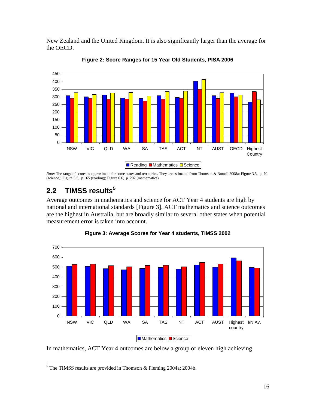<span id="page-15-0"></span>New Zealand and the United Kingdom. It is also significantly larger than the average for the OECD.



**Figure 2: Score Ranges for 15 Year Old Students, PISA 2006**

*Note:* The range of scores is approximate for some states and territories. They are estimated from Thomson & Bortoli 2008a: Figure 3.5, p. 70 (science); Figure 5.5, p.165 (reading); Figure 6.6, p. 202 (mathematics).

### **2.2 TIMSS results[5](#page-15-1)**

Average outcomes in mathematics and science for ACT Year 4 students are high by national and international standards [Figure 3]. ACT mathematics and science outcomes are the highest in Australia, but are broadly similar to several other states when potential measurement error is taken into account.



**Figure 3: Average Scores for Year 4 students, TIMSS 2002**

In mathematics, ACT Year 4 outcomes are below a group of eleven high achieving

<span id="page-15-1"></span> $\overline{a}$ <sup>5</sup> The TIMSS results are provided in Thomson & Fleming 2004a; 2004b.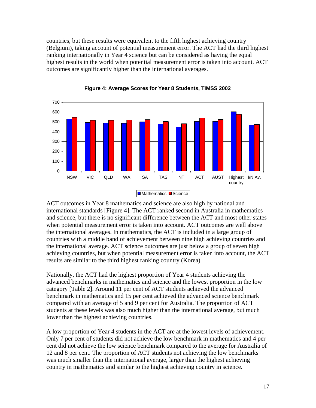countries, but these results were equivalent to the fifth highest achieving country (Belgium), taking account of potential measurement error. The ACT had the third highest ranking internationally in Year 4 science but can be considered as having the equal highest results in the world when potential measurement error is taken into account. ACT outcomes are significantly higher than the international averages.





ACT outcomes in Year 8 mathematics and science are also high by national and international standards [Figure 4]. The ACT ranked second in Australia in mathematics and science, but there is no significant difference between the ACT and most other states when potential measurement error is taken into account. ACT outcomes are well above the international averages. In mathematics, the ACT is included in a large group of countries with a middle band of achievement between nine high achieving countries and the international average. ACT science outcomes are just below a group of seven high achieving countries, but when potential measurement error is taken into account, the ACT results are similar to the third highest ranking country (Korea).

Nationally, the ACT had the highest proportion of Year 4 students achieving the advanced benchmarks in mathematics and science and the lowest proportion in the low category [Table 2]. Around 11 per cent of ACT students achieved the advanced benchmark in mathematics and 15 per cent achieved the advanced science benchmark compared with an average of 5 and 9 per cent for Australia. The proportion of ACT students at these levels was also much higher than the international average, but much lower than the highest achieving countries.

A low proportion of Year 4 students in the ACT are at the lowest levels of achievement. Only 7 per cent of students did not achieve the low benchmark in mathematics and 4 per cent did not achieve the low science benchmark compared to the average for Australia of 12 and 8 per cent. The proportion of ACT students not achieving the low benchmarks was much smaller than the international average, larger than the highest achieving country in mathematics and similar to the highest achieving country in science.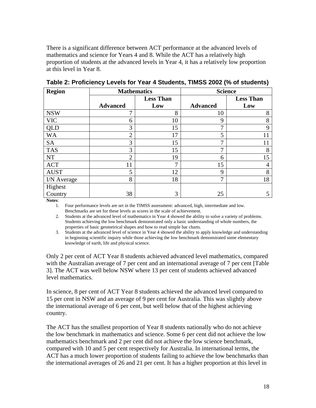There is a significant difference between ACT performance at the advanced levels of mathematics and science for Years 4 and 8. While the ACT has a relatively high proportion of students at the advanced levels in Year 4, it has a relatively low proportion at this level in Year 8.

| <b>Region</b> | <b>Mathematics</b> |                  |                 | <b>Science</b>   |
|---------------|--------------------|------------------|-----------------|------------------|
|               |                    | <b>Less Than</b> |                 | <b>Less Than</b> |
|               | <b>Advanced</b>    | Low              | <b>Advanced</b> | Low              |
| <b>NSW</b>    | 7                  | 8                | 10              | 8                |
| <b>VIC</b>    | 6                  | 10               | 9               | 8                |
| <b>QLD</b>    | 3                  | 15               | 7               | 9                |
| <b>WA</b>     | $\overline{2}$     | 17               | 5               |                  |
| <b>SA</b>     | 3                  | 15               | 7               |                  |
| <b>TAS</b>    | 3                  | 15               | 7               | 8                |
| <b>NT</b>     | $\overline{2}$     | 19               | 6               | 15               |
| ACT           | 11                 | ⇁                | 15              |                  |
| <b>AUST</b>   | 5                  | 12               | 9               | 8                |
| I/N Average   | 8                  | 18               | 7               | 18               |
| Highest       |                    |                  |                 |                  |
| Country       | 38                 | 3                | 25              |                  |

**Table 2: Proficiency Levels for Year 4 Students, TIMSS 2002 (% of students)** 

**Notes**:

1. Four performance levels are set in the TIMSS assessment: advanced, high, intermediate and low. Benchmarks are set for these levels as scores in the scale of achievement.

2. Students at the advanced level of mathematics in Year 4 showed the ability to solve a variety of problems. Students achieving the low benchmark demonstrated only a basic understanding of whole numbers, the properties of basic geometrical shapes and how to read simple bar charts.

3. Students at the advanced level of science in Year 4 showed the ability to apply knowledge and understanding in beginning scientific inquiry while those achieving the low benchmark demonstrated some elementary knowledge of earth, life and physical science.

Only 2 per cent of ACT Year 8 students achieved advanced level mathematics, compared with the Australian average of 7 per cent and an international average of 7 per cent [Table 3]. The ACT was well below NSW where 13 per cent of students achieved advanced level mathematics.

In science, 8 per cent of ACT Year 8 students achieved the advanced level compared to 15 per cent in NSW and an average of 9 per cent for Australia. This was slightly above the international average of 6 per cent, but well below that of the highest achieving country.

The ACT has the smallest proportion of Year 8 students nationally who do not achieve the low benchmark in mathematics and science. Some 6 per cent did not achieve the low mathematics benchmark and 2 per cent did not achieve the low science benchmark, compared with 10 and 5 per cent respectively for Australia. In international terms, the ACT has a much lower proportion of students failing to achieve the low benchmarks than the international averages of 26 and 21 per cent. It has a higher proportion at this level in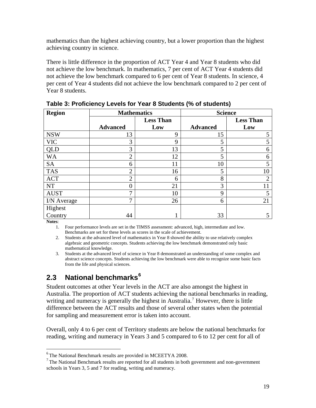<span id="page-18-0"></span>mathematics than the highest achieving country, but a lower proportion than the highest achieving country in science.

There is little difference in the proportion of ACT Year 4 and Year 8 students who did not achieve the low benchmark. In mathematics, 7 per cent of ACT Year 4 students did not achieve the low benchmark compared to 6 per cent of Year 8 students. In science, 4 per cent of Year 4 students did not achieve the low benchmark compared to 2 per cent of Year 8 students.

| <b>Region</b> | <b>Mathematics</b> |                  |                 | <b>Science</b>   |
|---------------|--------------------|------------------|-----------------|------------------|
|               |                    | <b>Less Than</b> |                 | <b>Less Than</b> |
|               | <b>Advanced</b>    | Low              | <b>Advanced</b> | Low              |
| <b>NSW</b>    | 13                 | $\mathbf Q$      | 15              |                  |
| <b>VIC</b>    | 3                  | 9                | 5               |                  |
| <b>QLD</b>    | 3                  | 13               | 5               | 6                |
| <b>WA</b>     | $\overline{2}$     | 12               | 5               | 6                |
| <b>SA</b>     | 6                  | 11               | 10              |                  |
| <b>TAS</b>    | $\overline{2}$     | 16               | 5               | 10               |
| <b>ACT</b>    | $\overline{2}$     | 6                | 8               | 2                |
| <b>NT</b>     | 0                  | 21               | 3               |                  |
| <b>AUST</b>   | $\mathbf{z}$       | 10               | 9               |                  |
| I/N Average   | 7                  | 26               | 6               | 21               |
| Highest       |                    |                  |                 |                  |
| Country       | 44                 |                  | 33              |                  |

**Table 3: Proficiency Levels for Year 8 Students (% of students)** 

**Notes**:

 $\overline{a}$ 

1. Four performance levels are set in the TIMSS assessment: advanced, high, intermediate and low. Benchmarks are set for these levels as scores in the scale of achievement.

2. Students at the advanced level of mathematics in Year 8 showed the ability to use relatively complex algebraic and geometric concepts. Students achieving the low benchmark demonstrated only basic mathematical knowledge.

3. Students at the advanced level of science in Year 8 demonstrated an understanding of some complex and abstract science concepts. Students achieving the low benchmark were able to recognize some basic facts from the life and physical sciences.

### **2.3 National benchmarks[6](#page-18-1)**

Student outcomes at other Year levels in the ACT are also amongst the highest in Australia. The proportion of ACT students achieving the national benchmarks in reading, writing and numeracy is generally the highest in Australia.<sup>[7](#page-18-2)</sup> However, there is little difference between the ACT results and those of several other states when the potential for sampling and measurement error is taken into account.

Overall, only 4 to 6 per cent of Territory students are below the national benchmarks for reading, writing and numeracy in Years 3 and 5 compared to 6 to 12 per cent for all of

<span id="page-18-1"></span><sup>6</sup> The National Benchmark results are provided in MCEETYA 2008.

<span id="page-18-2"></span> $<sup>7</sup>$ The National Benchmark results are reported for all students in both government and non-government</sup> schools in Years 3, 5 and 7 for reading, writing and numeracy.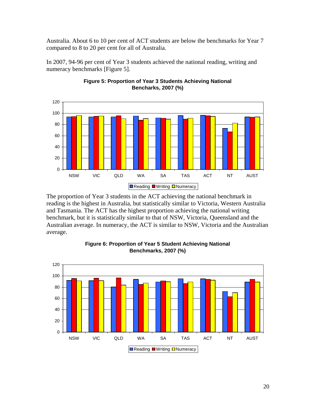Australia. About 6 to 10 per cent of ACT students are below the benchmarks for Year 7 compared to 8 to 20 per cent for all of Australia.

In 2007, 94-96 per cent of Year 3 students achieved the national reading, writing and numeracy benchmarks [Figure 5].



**Figure 5: Proportion of Year 3 Students Achieving National Bencharks, 2007 (%)**

The proportion of Year 3 students in the ACT achieving the national benchmark in reading is the highest in Australia, but statistically similar to Victoria, Western Australia and Tasmania. The ACT has the highest proportion achieving the national writing benchmark, but it is statistically similar to that of NSW, Victoria, Queensland and the Australian average. In numeracy, the ACT is similar to NSW, Victoria and the Australian average.



**Figure 6: Proportion of Year 5 Student Achieving National Benchmarks, 2007 (%)**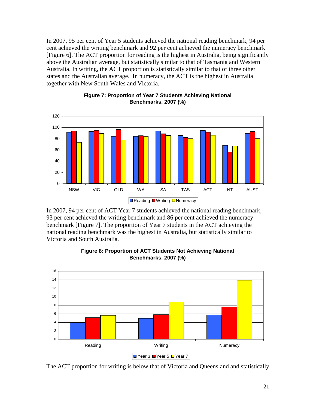In 2007, 95 per cent of Year 5 students achieved the national reading benchmark, 94 per cent achieved the writing benchmark and 92 per cent achieved the numeracy benchmark [Figure 6]. The ACT proportion for reading is the highest in Australia, being significantly above the Australian average, but statistically similar to that of Tasmania and Western Australia. In writing, the ACT proportion is statistically similar to that of three other states and the Australian average. In numeracy, the ACT is the highest in Australia together with New South Wales and Victoria.



**Figure 7: Proportion of Year 7 Students Achieving National Benchmarks, 2007 (%)**

In 2007, 94 per cent of ACT Year 7 students achieved the national reading benchmark, 93 per cent achieved the writing benchmark and 86 per cent achieved the numeracy benchmark [Figure 7]. The proportion of Year 7 students in the ACT achieving the national reading benchmark was the highest in Australia, but statistically similar to Victoria and South Australia.



#### **Figure 8: Proportion of ACT Students Not Achieving National Benchmarks, 2007 (%)**

The ACT proportion for writing is below that of Victoria and Queensland and statistically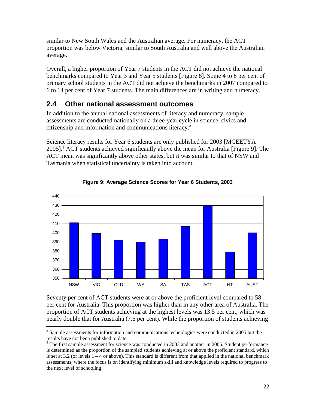<span id="page-21-0"></span>similar to New South Wales and the Australian average. For numeracy, the ACT proportion was below Victoria, similar to South Australia and well above the Australian average.

Overall, a higher proportion of Year 7 students in the ACT did not achieve the national benchmarks compared to Year 3 and Year 5 students [Figure 8]. Some 4 to 8 per cent of primary school students in the ACT did not achieve the benchmarks in 2007 compared to 6 to 14 per cent of Year 7 students. The main differences are in writing and numeracy.

### **2.4 Other national assessment outcomes**

In addition to the annual national assessments of literacy and numeracy, sample assessments are conducted nationally on a three-year cycle in science, civics and citizenship and information and communications literacy.[8](#page-21-1)

Science literacy results for Year 6 students are only published for 2003 [MCEETYA 2005]. ACT students achieved significantly above the mean for Australia [Figure [9](#page-21-2)]. The ACT mean was significantly above other states, but it was similar to that of NSW and Tasmania when statistical uncertainty is taken into account.



#### **Figure 9: Average Science Scores for Year 6 Students, 2003**

 Seventy per cent of ACT students were at or above the proficient level compared to 58 per cent for Australia. This proportion was higher than in any other area of Australia. The proportion of ACT students achieving at the highest levels was 13.5 per cent, which was nearly double that for Australia (7.6 per cent). While the proportion of students achieving

<span id="page-21-1"></span><sup>&</sup>lt;sup>8</sup> Sample assessments for information and communications technologies were conducted in 2005 but the results have not been published to date.

<span id="page-21-2"></span><sup>&</sup>lt;sup>9</sup> The first sample assessment for science was conducted in 2003 and another in 2006. Student performance is determined as the proportion of the sampled students achieving at or above the proficient standard, which is set at  $3.2$  (of levels  $1 - 4$  or above). This standard is different from that applied in the national benchmark assessments, where the focus is on identifying minimum skill and knowledge levels required to progress to the next level of schooling.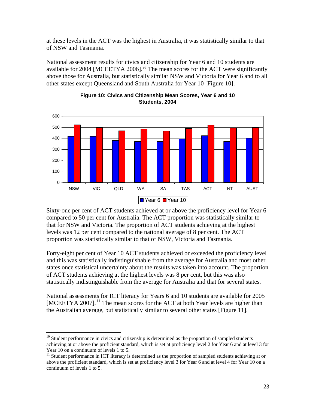at these levels in the ACT was the highest in Australia, it was statistically similar to that of NSW and Tasmania.

National assessment results for civics and citizenship for Year 6 and 10 students are available for 2004 [MCEETYA 2006].<sup>[10](#page-22-0)</sup> The mean scores for the ACT were significantly above those for Australia, but statistically similar NSW and Victoria for Year 6 and to all other states except Queensland and South Australia for Year 10 [Figure 10].



#### **Figure 10: Civics and Citizenship Mean Scores, Year 6 and 10 Students, 2004**

Sixty-one per cent of ACT students achieved at or above the proficiency level for Year 6 compared to 50 per cent for Australia. The ACT proportion was statistically similar to that for NSW and Victoria. The proportion of ACT students achieving at the highest levels was 12 per cent compared to the national average of 8 per cent. The ACT proportion was statistically similar to that of NSW, Victoria and Tasmania.

Forty-eight per cent of Year 10 ACT students achieved or exceeded the proficiency level and this was statistically indistinguishable from the average for Australia and most other states once statistical uncertainty about the results was taken into account. The proportion of ACT students achieving at the highest levels was 8 per cent, but this was also statistically indistinguishable from the average for Australia and that for several states.

National assessments for ICT literacy for Years 6 and 10 students are available for 2005 [MCEETYA 2007].<sup>[11](#page-22-1)</sup> The mean scores for the ACT at both Year levels are higher than the Australian average, but statistically similar to several other states [Figure 11].

<span id="page-22-0"></span> $10$  Student performance in civics and citizenship is determined as the proportion of sampled students achieving at or above the proficient standard, which is set at proficiency level 2 for Year 6 and at level 3 for Year 10 on a continuum of levels 1 to 5.

<span id="page-22-1"></span><sup>&</sup>lt;sup>11</sup> Student performance in ICT literacy is determined as the proportion of sampled students achieving at or above the proficient standard, which is set at proficiency level 3 for Year 6 and at level 4 for Year 10 on a continuum of levels 1 to 5.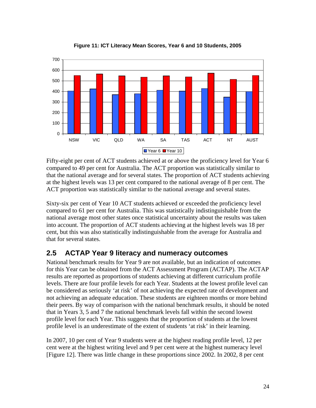<span id="page-23-0"></span>

**Figure 11: ICT Literacy Mean Scores, Year 6 and 10 Students, 2005**

Fifty-eight per cent of ACT students achieved at or above the proficiency level for Year 6 compared to 49 per cent for Australia. The ACT proportion was statistically similar to that the national average and for several states. The proportion of ACT students achieving at the highest levels was 13 per cent compared to the national average of 8 per cent. The ACT proportion was statistically similar to the national average and several states.

Sixty-six per cent of Year 10 ACT students achieved or exceeded the proficiency level compared to 61 per cent for Australia. This was statistically indistinguishable from the national average most other states once statistical uncertainty about the results was taken into account. The proportion of ACT students achieving at the highest levels was 18 per cent, but this was also statistically indistinguishable from the average for Australia and that for several states.

### **2.5 ACTAP Year 9 literacy and numeracy outcomes**

National benchmark results for Year 9 are not available, but an indication of outcomes for this Year can be obtained from the ACT Assessment Program (ACTAP). The ACTAP results are reported as proportions of students achieving at different curriculum profile levels. There are four profile levels for each Year. Students at the lowest profile level can be considered as seriously 'at risk' of not achieving the expected rate of development and not achieving an adequate education. These students are eighteen months or more behind their peers. By way of comparison with the national benchmark results, it should be noted that in Years 3, 5 and 7 the national benchmark levels fall within the second lowest profile level for each Year. This suggests that the proportion of students at the lowest profile level is an underestimate of the extent of students 'at risk' in their learning.

In 2007, 10 per cent of Year 9 students were at the highest reading profile level, 12 per cent were at the highest writing level and 9 per cent were at the highest numeracy level [Figure 12]. There was little change in these proportions since 2002. In 2002, 8 per cent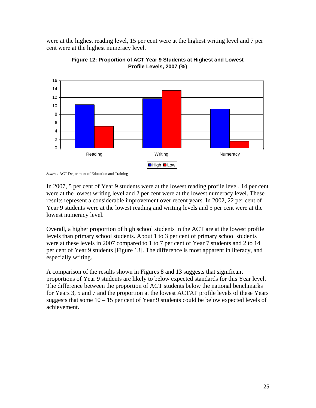were at the highest reading level, 15 per cent were at the highest writing level and 7 per cent were at the highest numeracy level.





In 2007, 5 per cent of Year 9 students were at the lowest reading profile level, 14 per cent were at the lowest writing level and 2 per cent were at the lowest numeracy level. These results represent a considerable improvement over recent years. In 2002, 22 per cent of Year 9 students were at the lowest reading and writing levels and 5 per cent were at the lowest numeracy level.

Overall, a higher proportion of high school students in the ACT are at the lowest profile levels than primary school students. About 1 to 3 per cent of primary school students were at these levels in 2007 compared to 1 to 7 per cent of Year 7 students and 2 to 14 per cent of Year 9 students [Figure 13]. The difference is most apparent in literacy, and especially writing.

A comparison of the results shown in Figures 8 and 13 suggests that significant proportions of Year 9 students are likely to below expected standards for this Year level. The difference between the proportion of ACT students below the national benchmarks for Years 3, 5 and 7 and the proportion at the lowest ACTAP profile levels of these Years suggests that some  $10 - 15$  per cent of Year 9 students could be below expected levels of achievement.

*Source:* ACT Department of Education and Training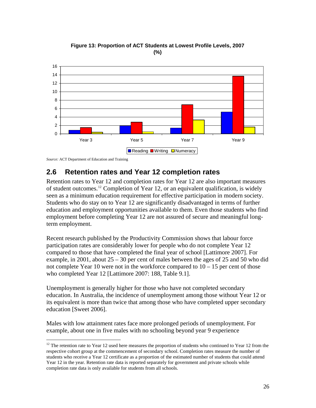<span id="page-25-0"></span>

**Figure 13: Proportion of ACT Students at Lowest Profile Levels, 2007 (%)**

*Source:* ACT Department of Education and Training

 $\overline{a}$ 

### **2.6 Retention rates and Year 12 completion rates**

Retention rates to Year 12 and completion rates for Year 12 are also important measures of student outcomes.[12](#page-25-1) Completion of Year 12, or an equivalent qualification, is widely seen as a minimum education requirement for effective participation in modern society. Students who do stay on to Year 12 are significantly disadvantaged in terms of further education and employment opportunities available to them. Even those students who find employment before completing Year 12 are not assured of secure and meaningful longterm employment.

Recent research published by the Productivity Commission shows that labour force participation rates are considerably lower for people who do not complete Year 12 compared to those that have completed the final year of school [Lattimore 2007]. For example, in 2001, about  $25 - 30$  per cent of males between the ages of 25 and 50 who did not complete Year 10 were not in the workforce compared to  $10 - 15$  per cent of those who completed Year 12 [Lattimore 2007: 188, Table 9.1].

Unemployment is generally higher for those who have not completed secondary education. In Australia, the incidence of unemployment among those without Year 12 or its equivalent is more than twice that among those who have completed upper secondary education [Sweet 2006].

Males with low attainment rates face more prolonged periods of unemployment. For example, about one in five males with no schooling beyond year 9 experience

<span id="page-25-1"></span> $12$ <sup>12</sup> The retention rate to Year 12 used here measures the proportion of students who continued to Year 12 from the respective cohort group at the commencement of secondary school. Completion rates measure the number of students who receive a Year 12 certificate as a proportion of the estimated number of students that could attend Year 12 in the year. Retention rate data is reported separately for government and private schools while completion rate data is only available for students from all schools.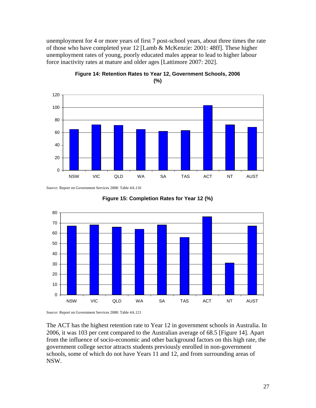unemployment for 4 or more years of first 7 post-school years, about three times the rate of those who have completed year 12 [Lamb & McKenzie: 2001: 48ff]. These higher unemployment rates of young, poorly educated males appear to lead to higher labour force inactivity rates at mature and older ages [Lattimore 2007: 202].



**Figure 14: Retention Rates to Year 12, Government Schools, 2006 (%)**

*Source:* Report on Government Services 2008: Table 4A.116





The ACT has the highest retention rate to Year 12 in government schools in Australia. In 2006, it was 103 per cent compared to the Australian average of 68.5 [Figure 14]. Apart from the influence of socio-economic and other background factors on this high rate, the government college sector attracts students previously enrolled in non-government schools, some of which do not have Years 11 and 12, and from surrounding areas of NSW.

*Source:* Report on Government Services 2008: Table 4A.121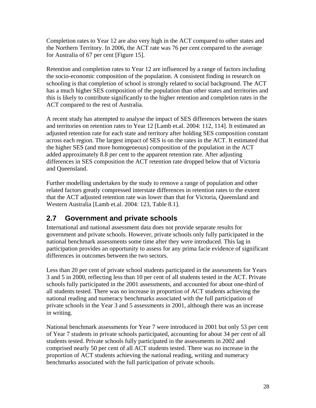<span id="page-27-0"></span>Completion rates to Year 12 are also very high in the ACT compared to other states and the Northern Territory. In 2006, the ACT rate was 76 per cent compared to the average for Australia of 67 per cent [Figure 15].

Retention and completion rates to Year 12 are influenced by a range of factors including the socio-economic composition of the population. A consistent finding in research on schooling is that completion of school is strongly related to social background. The ACT has a much higher SES composition of the population than other states and territories and this is likely to contribute significantly to the higher retention and completion rates in the ACT compared to the rest of Australia.

A recent study has attempted to analyse the impact of SES differences between the states and territories on retention rates to Year 12 [Lamb et.al. 2004: 112, 114]. It estimated an adjusted retention rate for each state and territory after holding SES composition constant across each region. The largest impact of SES is on the rates in the ACT. It estimated that the higher SES (and more homogeneous) composition of the population in the ACT added approximately 8.8 per cent to the apparent retention rate. After adjusting differences in SES composition the ACT retention rate dropped below that of Victoria and Queensland.

Further modelling undertaken by the study to remove a range of population and other related factors greatly compressed interstate differences in retention rates to the extent that the ACT adjusted retention rate was lower than that for Victoria, Queensland and Western Australia [Lamb et.al. 2004: 123, Table 8.1].

### **2.7 Government and private schools**

International and national assessment data does not provide separate results for government and private schools. However, private schools only fully participated in the national benchmark assessments some time after they were introduced. This lag in participation provides an opportunity to assess for any prima facie evidence of significant differences in outcomes between the two sectors.

Less than 20 per cent of private school students participated in the assessments for Years 3 and 5 in 2000, reflecting less than 10 per cent of all students tested in the ACT. Private schools fully participated in the 2001 assessments, and accounted for about one-third of all students tested. There was no increase in proportion of ACT students achieving the national reading and numeracy benchmarks associated with the full participation of private schools in the Year 3 and 5 assessments in 2001, although there was an increase in writing.

National benchmark assessments for Year 7 were introduced in 2001 but only 53 per cent of Year 7 students in private schools participated, accounting for about 34 per cent of all students tested. Private schools fully participated in the assessments in 2002 and comprised nearly 50 per cent of all ACT students tested. There was no increase in the proportion of ACT students achieving the national reading, writing and numeracy benchmarks associated with the full participation of private schools.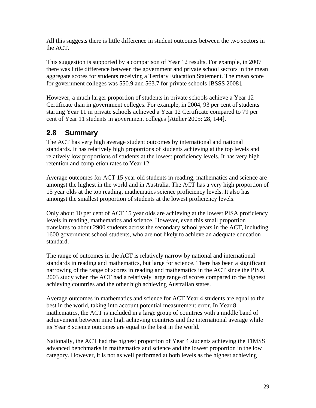<span id="page-28-0"></span>All this suggests there is little difference in student outcomes between the two sectors in the ACT.

This suggestion is supported by a comparison of Year 12 results. For example, in 2007 there was little difference between the government and private school sectors in the mean aggregate scores for students receiving a Tertiary Education Statement. The mean score for government colleges was 550.9 and 563.7 for private schools [BSSS 2008].

However, a much larger proportion of students in private schools achieve a Year 12 Certificate than in government colleges. For example, in 2004, 93 per cent of students starting Year 11 in private schools achieved a Year 12 Certificate compared to 79 per cent of Year 11 students in government colleges [Atelier 2005: 28, 144].

### **2.8 Summary**

The ACT has very high average student outcomes by international and national standards. It has relatively high proportions of students achieving at the top levels and relatively low proportions of students at the lowest proficiency levels. It has very high retention and completion rates to Year 12.

Average outcomes for ACT 15 year old students in reading, mathematics and science are amongst the highest in the world and in Australia. The ACT has a very high proportion of 15 year olds at the top reading, mathematics science proficiency levels. It also has amongst the smallest proportion of students at the lowest proficiency levels.

Only about 10 per cent of ACT 15 year olds are achieving at the lowest PISA proficiency levels in reading, mathematics and science. However, even this small proportion translates to about 2900 students across the secondary school years in the ACT, including 1600 government school students, who are not likely to achieve an adequate education standard.

The range of outcomes in the ACT is relatively narrow by national and international standards in reading and mathematics, but large for science. There has been a significant narrowing of the range of scores in reading and mathematics in the ACT since the PISA 2003 study when the ACT had a relatively large range of scores compared to the highest achieving countries and the other high achieving Australian states.

Average outcomes in mathematics and science for ACT Year 4 students are equal to the best in the world, taking into account potential measurement error. In Year 8 mathematics, the ACT is included in a large group of countries with a middle band of achievement between nine high achieving countries and the international average while its Year 8 science outcomes are equal to the best in the world.

Nationally, the ACT had the highest proportion of Year 4 students achieving the TIMSS advanced benchmarks in mathematics and science and the lowest proportion in the low category. However, it is not as well performed at both levels as the highest achieving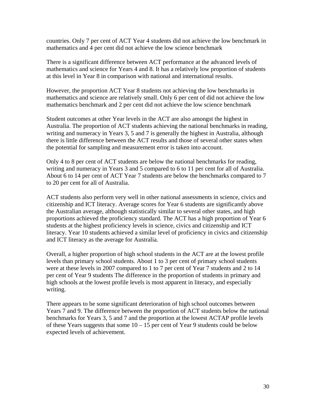countries. Only 7 per cent of ACT Year 4 students did not achieve the low benchmark in mathematics and 4 per cent did not achieve the low science benchmark

There is a significant difference between ACT performance at the advanced levels of mathematics and science for Years 4 and 8. It has a relatively low proportion of students at this level in Year 8 in comparison with national and international results.

However, the proportion ACT Year 8 students not achieving the low benchmarks in mathematics and science are relatively small. Only 6 per cent of did not achieve the low mathematics benchmark and 2 per cent did not achieve the low science benchmark

Student outcomes at other Year levels in the ACT are also amongst the highest in Australia. The proportion of ACT students achieving the national benchmarks in reading, writing and numeracy in Years 3, 5 and 7 is generally the highest in Australia, although there is little difference between the ACT results and those of several other states when the potential for sampling and measurement error is taken into account.

Only 4 to 8 per cent of ACT students are below the national benchmarks for reading, writing and numeracy in Years 3 and 5 compared to 6 to 11 per cent for all of Australia. About 6 to 14 per cent of ACT Year 7 students are below the benchmarks compared to 7 to 20 per cent for all of Australia.

ACT students also perform very well in other national assessments in science, civics and citizenship and ICT literacy. Average scores for Year 6 students are significantly above the Australian average, although statistically similar to several other states, and high proportions achieved the proficiency standard. The ACT has a high proportion of Year 6 students at the highest proficiency levels in science, civics and citizenship and ICT literacy. Year 10 students achieved a similar level of proficiency in civics and citizenship and ICT literacy as the average for Australia.

Overall, a higher proportion of high school students in the ACT are at the lowest profile levels than primary school students. About 1 to 3 per cent of primary school students were at these levels in 2007 compared to 1 to 7 per cent of Year 7 students and 2 to 14 per cent of Year 9 students The difference in the proportion of students in primary and high schools at the lowest profile levels is most apparent in literacy, and especially writing.

There appears to be some significant deterioration of high school outcomes between Years 7 and 9. The difference between the proportion of ACT students below the national benchmarks for Years 3, 5 and 7 and the proportion at the lowest ACTAP profile levels of these Years suggests that some  $10 - 15$  per cent of Year 9 students could be below expected levels of achievement.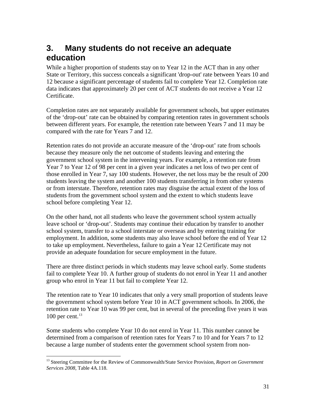## <span id="page-30-0"></span>**3. Many students do not receive an adequate education**

While a higher proportion of students stay on to Year 12 in the ACT than in any other State or Territory, this success conceals a significant 'drop-out' rate between Years 10 and 12 because a significant percentage of students fail to complete Year 12. Completion rate data indicates that approximately 20 per cent of ACT students do not receive a Year 12 Certificate.

Completion rates are not separately available for government schools, but upper estimates of the 'drop-out' rate can be obtained by comparing retention rates in government schools between different years. For example, the retention rate between Years 7 and 11 may be compared with the rate for Years 7 and 12.

Retention rates do not provide an accurate measure of the 'drop-out' rate from schools because they measure only the net outcome of students leaving and entering the government school system in the intervening years. For example, a retention rate from Year 7 to Year 12 of 98 per cent in a given year indicates a net loss of two per cent of those enrolled in Year 7, say 100 students. However, the net loss may be the result of 200 students leaving the system and another 100 students transferring in from other systems or from interstate. Therefore, retention rates may disguise the actual extent of the loss of students from the government school system and the extent to which students leave school before completing Year 12.

On the other hand, not all students who leave the government school system actually leave school or 'drop-out'. Students may continue their education by transfer to another school system, transfer to a school interstate or overseas and by entering training for employment. In addition, some students may also leave school before the end of Year 12 to take up employment. Nevertheless, failure to gain a Year 12 Certificate may not provide an adequate foundation for secure employment in the future.

There are three distinct periods in which students may leave school early. Some students fail to complete Year 10. A further group of students do not enrol in Year 11 and another group who enrol in Year 11 but fail to complete Year 12.

The retention rate to Year 10 indicates that only a very small proportion of students leave the government school system before Year 10 in ACT government schools. In 2006, the retention rate to Year 10 was 99 per cent, but in several of the preceding five years it was 100 per cent. $13$ 

Some students who complete Year 10 do not enrol in Year 11. This number cannot be determined from a comparison of retention rates for Years 7 to 10 and for Years 7 to 12 because a large number of students enter the government school system from non-

<span id="page-30-1"></span><sup>&</sup>lt;sup>13</sup> Steering Committee for the Review of Commonwealth/State Service Provision, *Report on Government Services 2008*, Table 4A.118.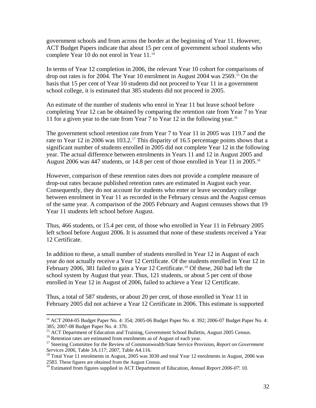government schools and from across the border at the beginning of Year 11. However, ACT Budget Papers indicate that about 15 per cent of government school students who complete Year 10 do not enrol in Year 11.<sup>[14](#page-31-0)</sup>

In terms of Year 12 completion in 2006, the relevant Year 10 cohort for comparisons of drop out rates is for 2004. The Year 10 enrolment in August 2004 was 2569.[15](#page-31-1) On the basis that 15 per cent of Year 10 students did not proceed to Year 11 in a government school college, it is estimated that 385 students did not proceed in 2005.

An estimate of the number of students who enrol in Year 11 but leave school before completing Year 12 can be obtained by comparing the retention rate from Year 7 to Year 11 for a given year to the rate from Year 7 to Year 12 in the following year.<sup>[16](#page-31-2)</sup>

The government school retention rate from Year 7 to Year 11 in 2005 was 119.7 and the rate to Year 12 in 2006 was 103.2.<sup>[17](#page-31-3)</sup> This disparity of 16.5 percentage points shows that a significant number of students enrolled in 2005 did not complete Year 12 in the following year. The actual difference between enrolments in Years 11 and 12 in August 2005 and August 2006 was 447 students, or 14.8 per cent of those enrolled in Year 11 in 2005.<sup>[18](#page-31-4)</sup>

However, comparison of these retention rates does not provide a complete measure of drop-out rates because published retention rates are estimated in August each year. Consequently, they do not account for students who enter or leave secondary college between enrolment in Year 11 as recorded in the February census and the August census of the same year. A comparison of the 2005 February and August censuses shows that 19 Year 11 students left school before August.

Thus, 466 students, or 15.4 per cent, of those who enrolled in Year 11 in February 2005 left school before August 2006. It is assumed that none of these students received a Year 12 Certificate.

In addition to these, a small number of students enrolled in Year 12 in August of each year do not actually receive a Year 12 Certificate. Of the students enrolled in Year 12 in February 2006, 381 failed to gain a Year 12 Certificate.<sup>[19](#page-31-5)</sup> Of these, 260 had left the school system by August that year. Thus, 121 students, or about 5 per cent of those enrolled in Year 12 in August of 2006, failed to achieve a Year 12 Certificate.

Thus, a total of 587 students, or about 20 per cent, of those enrolled in Year 11 in February 2005 did not achieve a Year 12 Certificate in 2006. This estimate is supported

<span id="page-31-0"></span><sup>&</sup>lt;sup>14</sup> ACT 2004-05 Budget Paper No. 4: 354; 2005-06 Budget Paper No. 4: 392; 2006-07 Budget Paper No. 4: 385; 2007-08 Budget Paper No. 4: 370.<br><sup>15</sup> ACT Department of Education and Training, Government School Bulletin, August 2005 Census.

<span id="page-31-3"></span><span id="page-31-2"></span><span id="page-31-1"></span><sup>&</sup>lt;sup>16</sup> Retention rates are estimated from enrolments as of August of each year.<br><sup>17</sup> Steering Committee for the Review of Commonwealth/State Service Provision, *Report on Government Services 2006, Table 3A.117; 2007, Table A4.116.* 18 *Services 2006*, Table 3A.117; 2007, Table A4.116. 18 Total Year 12 enrolments in August, 2006 was

<span id="page-31-4"></span><sup>2583.</sup> These figures are obtained from the August Census.

<span id="page-31-5"></span><sup>19</sup> Estimated from figures supplied in ACT Department of Education, *Annual Report 2006-07*: 10.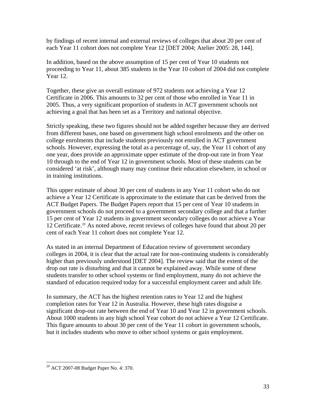by findings of recent internal and external reviews of colleges that about 20 per cent of each Year 11 cohort does not complete Year 12 [DET 2004; Atelier 2005: 28, 144].

In addition, based on the above assumption of 15 per cent of Year 10 students not proceeding to Year 11, about 385 students in the Year 10 cohort of 2004 did not complete Year 12.

Together, these give an overall estimate of 972 students not achieving a Year 12 Certificate in 2006. This amounts to 32 per cent of those who enrolled in Year 11 in 2005. Thus, a very significant proportion of students in ACT government schools not achieving a goal that has been set as a Territory and national objective.

Strictly speaking, these two figures should not be added together because they are derived from different bases, one based on government high school enrolments and the other on college enrolments that include students previously not enrolled in ACT government schools. However, expressing the total as a percentage of, say, the Year 11 cohort of any one year, does provide an approximate upper estimate of the drop-out rate in from Year 10 through to the end of Year 12 in government schools. Most of these students can be considered 'at risk', although many may continue their education elsewhere, in school or in training institutions.

This upper estimate of about 30 per cent of students in any Year 11 cohort who do not achieve a Year 12 Certificate is approximate to the estimate that can be derived from the ACT Budget Papers. The Budget Papers report that 15 per cent of Year 10 students in government schools do not proceed to a government secondary college and that a further 15 per cent of Year 12 students in government secondary colleges do not achieve a Year 12 Certificate.[20](#page-32-0) As noted above, recent reviews of colleges have found that about 20 per cent of each Year 11 cohort does not complete Year 12.

As stated in an internal Department of Education review of government secondary colleges in 2004, it is clear that the actual rate for non-continuing students is considerably higher than previously understood [DET 2004]. The review said that the extent of the drop out rate is disturbing and that it cannot be explained away. While some of these students transfer to other school systems or find employment, many do not achieve the standard of education required today for a successful employment career and adult life.

In summary, the ACT has the highest retention rates to Year 12 and the highest completion rates for Year 12 in Australia. However, these high rates disguise a significant drop-out rate between the end of Year 10 and Year 12 in government schools. About 1000 students in any high school Year cohort do not achieve a Year 12 Certificate. This figure amounts to about 30 per cent of the Year 11 cohort in government schools, but it includes students who move to other school systems or gain employment.

<span id="page-32-0"></span><sup>20</sup> ACT 2007-08 Budget Paper No. 4: 370.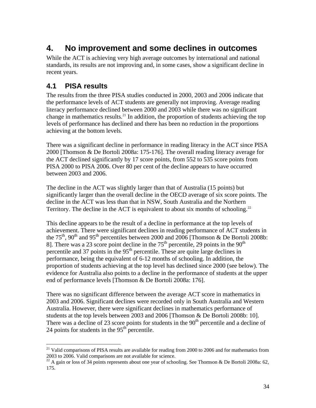## <span id="page-33-0"></span>**4. No improvement and some declines in outcomes**

While the ACT is achieving very high average outcomes by international and national standards, its results are not improving and, in some cases, show a significant decline in recent years.

### **4.1 PISA results**

 $\overline{a}$ 

The results from the three PISA studies conducted in 2000, 2003 and 2006 indicate that the performance levels of ACT students are generally not improving. Average reading literacy performance declined between 2000 and 2003 while there was no significant change in mathematics results.<sup>[21](#page-33-1)</sup> In addition, the proportion of students achieving the top levels of performance has declined and there has been no reduction in the proportions achieving at the bottom levels.

There was a significant decline in performance in reading literacy in the ACT since PISA 2000 [Thomson & De Bortoli 2008a: 175-176]. The overall reading literacy average for the ACT declined significantly by 17 score points, from 552 to 535 score points from PISA 2000 to PISA 2006. Over 80 per cent of the decline appears to have occurred between 2003 and 2006.

The decline in the ACT was slightly larger than that of Australia (15 points) but significantly larger than the overall decline in the OECD average of six score points. The decline in the ACT was less than that in NSW, South Australia and the Northern Territory. The decline in the ACT is equivalent to about six months of schooling.<sup>[22](#page-33-2)</sup>

This decline appears to be the result of a decline in performance at the top levels of achievement. There were significant declines in reading performance of ACT students in the 75<sup>th</sup>, 90<sup>th</sup> and 95<sup>th</sup> percentiles between 2000 and 2006 [Thomson & De Bortoli 2008b: 8]. There was a 23 score point decline in the  $75<sup>th</sup>$  percentile, 29 points in the  $90<sup>th</sup>$ percentile and 37 points in the  $95<sup>th</sup>$  percentile. These are quite large declines in performance, being the equivalent of 6-12 months of schooling. In addition, the proportion of students achieving at the top level has declined since 2000 (see below). The evidence for Australia also points to a decline in the performance of students at the upper end of performance levels [Thomson & De Bortoli 2008a: 176].

There was no significant difference between the average ACT score in mathematics in 2003 and 2006. Significant declines were recorded only in South Australia and Western Australia. However, there were significant declines in mathematics performance of students at the top levels between 2003 and 2006 [Thomson & De Bortoli 2008b: 10]. There was a decline of 23 score points for students in the  $90<sup>th</sup>$  percentile and a decline of 24 points for students in the  $95<sup>th</sup>$  percentile.

<span id="page-33-1"></span> $^{21}$  Valid comparisons of PISA results are available for reading from 2000 to 2006 and for mathematics from 2003 to 2006. Valid comparisons are not available for science.

<span id="page-33-2"></span><sup>&</sup>lt;sup>22</sup> A gain or loss of 34 points represents about one year of schooling. See Thomson & De Bortoli 2008a: 62, 175.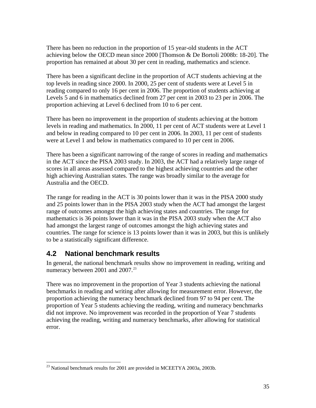<span id="page-34-0"></span>There has been no reduction in the proportion of 15 year-old students in the ACT achieving below the OECD mean since 2000 [Thomson & De Bortoli 2008b: 18-20]. The proportion has remained at about 30 per cent in reading, mathematics and science.

There has been a significant decline in the proportion of ACT students achieving at the top levels in reading since 2000. In 2000, 25 per cent of students were at Level 5 in reading compared to only 16 per cent in 2006. The proportion of students achieving at Levels 5 and 6 in mathematics declined from 27 per cent in 2003 to 23 per in 2006. The proportion achieving at Level 6 declined from 10 to 6 per cent.

There has been no improvement in the proportion of students achieving at the bottom levels in reading and mathematics. In 2000, 11 per cent of ACT students were at Level 1 and below in reading compared to 10 per cent in 2006. In 2003, 11 per cent of students were at Level 1 and below in mathematics compared to 10 per cent in 2006.

There has been a significant narrowing of the range of scores in reading and mathematics in the ACT since the PISA 2003 study. In 2003, the ACT had a relatively large range of scores in all areas assessed compared to the highest achieving countries and the other high achieving Australian states. The range was broadly similar to the average for Australia and the OECD.

The range for reading in the ACT is 30 points lower than it was in the PISA 2000 study and 25 points lower than in the PISA 2003 study when the ACT had amongst the largest range of outcomes amongst the high achieving states and countries. The range for mathematics is 36 points lower than it was in the PISA 2003 study when the ACT also had amongst the largest range of outcomes amongst the high achieving states and countries. The range for science is 13 points lower than it was in 2003, but this is unlikely to be a statistically significant difference.

### **4.2 National benchmark results**

 $\overline{a}$ 

In general, the national benchmark results show no improvement in reading, writing and numeracy between 2001 and 2007.<sup>[23](#page-34-1)</sup>

There was no improvement in the proportion of Year 3 students achieving the national benchmarks in reading and writing after allowing for measurement error. However, the proportion achieving the numeracy benchmark declined from 97 to 94 per cent. The proportion of Year 5 students achieving the reading, writing and numeracy benchmarks did not improve. No improvement was recorded in the proportion of Year 7 students achieving the reading, writing and numeracy benchmarks, after allowing for statistical error.

<span id="page-34-1"></span> $^{23}$  National benchmark results for 2001 are provided in MCEETYA 2003a, 2003b.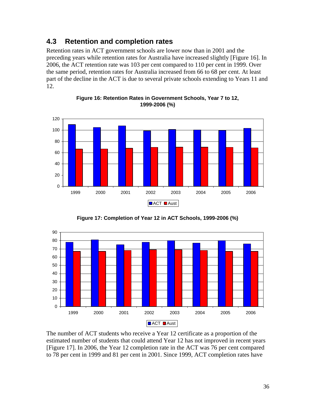### <span id="page-35-0"></span>**4.3 Retention and completion rates**

Retention rates in ACT government schools are lower now than in 2001 and the preceding years while retention rates for Australia have increased slightly [Figure 16]. In 2006, the ACT retention rate was 103 per cent compared to 110 per cent in 1999. Over the same period, retention rates for Australia increased from 66 to 68 per cent. At least part of the decline in the ACT is due to several private schools extending to Years 11 and 12.







**Figure 17: Completion of Year 12 in ACT Schools, 1999-2006 (%)**

The number of ACT students who receive a Year 12 certificate as a proportion of the estimated number of students that could attend Year 12 has not improved in recent years [Figure 17]. In 2006, the Year 12 completion rate in the ACT was 76 per cent compared to 78 per cent in 1999 and 81 per cent in 2001. Since 1999, ACT completion rates have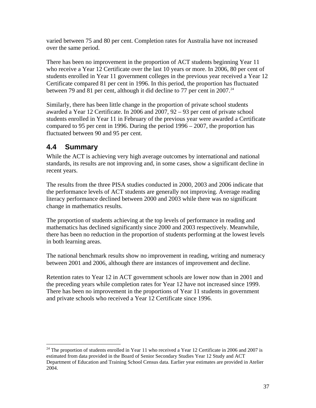<span id="page-36-0"></span>varied between 75 and 80 per cent. Completion rates for Australia have not increased over the same period.

There has been no improvement in the proportion of ACT students beginning Year 11 who receive a Year 12 Certificate over the last 10 years or more. In 2006, 80 per cent of students enrolled in Year 11 government colleges in the previous year received a Year 12 Certificate compared 81 per cent in 1996. In this period, the proportion has fluctuated between 79 and 81 per cent, although it did decline to 77 per cent in 2007.<sup>[24](#page-36-1)</sup>

Similarly, there has been little change in the proportion of private school students awarded a Year 12 Certificate. In 2006 and 2007, 92 – 93 per cent of private school students enrolled in Year 11 in February of the previous year were awarded a Certificate compared to 95 per cent in 1996. During the period 1996 – 2007, the proportion has fluctuated between 90 and 95 per cent.

### **4.4 Summary**

 $\overline{a}$ 

While the ACT is achieving very high average outcomes by international and national standards, its results are not improving and, in some cases, show a significant decline in recent years.

The results from the three PISA studies conducted in 2000, 2003 and 2006 indicate that the performance levels of ACT students are generally not improving. Average reading literacy performance declined between 2000 and 2003 while there was no significant change in mathematics results.

The proportion of students achieving at the top levels of performance in reading and mathematics has declined significantly since 2000 and 2003 respectively. Meanwhile, there has been no reduction in the proportion of students performing at the lowest levels in both learning areas.

The national benchmark results show no improvement in reading, writing and numeracy between 2001 and 2006, although there are instances of improvement and decline.

Retention rates to Year 12 in ACT government schools are lower now than in 2001 and the preceding years while completion rates for Year 12 have not increased since 1999. There has been no improvement in the proportions of Year 11 students in government and private schools who received a Year 12 Certificate since 1996.

<span id="page-36-1"></span><sup>&</sup>lt;sup>24</sup> The proportion of students enrolled in Year 11 who received a Year 12 Certificate in 2006 and 2007 is estimated from data provided in the Board of Senior Secondary Studies Year 12 Study and ACT Department of Education and Training School Census data. Earlier year estimates are provided in Atelier 2004.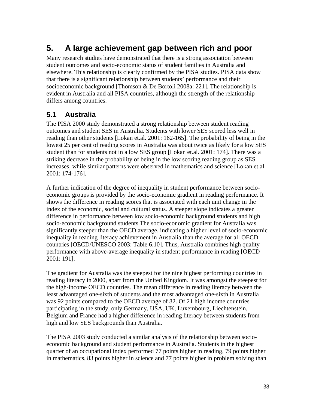## <span id="page-37-0"></span>**5. A large achievement gap between rich and poor**

Many research studies have demonstrated that there is a strong association between student outcomes and socio-economic status of student families in Australia and elsewhere. This relationship is clearly confirmed by the PISA studies. PISA data show that there is a significant relationship between students' performance and their socioeconomic background [Thomson & De Bortoli 2008a: 221]. The relationship is evident in Australia and all PISA countries, although the strength of the relationship differs among countries.

### **5.1 Australia**

The PISA 2000 study demonstrated a strong relationship between student reading outcomes and student SES in Australia. Students with lower SES scored less well in reading than other students [Lokan et.al. 2001: 162-165]. The probability of being in the lowest 25 per cent of reading scores in Australia was about twice as likely for a low SES student than for students not in a low SES group [Lokan et.al. 2001: 174]. There was a striking decrease in the probability of being in the low scoring reading group as SES increases, while similar patterns were observed in mathematics and science [Lokan et.al. 2001: 174-176].

A further indication of the degree of inequality in student performance between socioeconomic groups is provided by the socio-economic gradient in reading performance. It shows the difference in reading scores that is associated with each unit change in the index of the economic, social and cultural status. A steeper slope indicates a greater difference in performance between low socio-economic background students and high socio-economic background students.The socio-economic gradient for Australia was significantly steeper than the OECD average, indicating a higher level of socio-economic inequality in reading literacy achievement in Australia than the average for all OECD countries [OECD/UNESCO 2003: Table 6.10]. Thus, Australia combines high quality performance with above-average inequality in student performance in reading [OECD 2001: 191].

The gradient for Australia was the steepest for the nine highest performing countries in reading literacy in 2000, apart from the United Kingdom. It was amongst the steepest for the high-income OECD countries. The mean difference in reading literacy between the least advantaged one-sixth of students and the most advantaged one-sixth in Australia was 92 points compared to the OECD average of 82. Of 21 high income countries participating in the study, only Germany, USA, UK, Luxembourg, Liechtenstein, Belgium and France had a higher difference in reading literacy between students from high and low SES backgrounds than Australia.

The PISA 2003 study conducted a similar analysis of the relationship between socioeconomic background and student performance in Australia. Students in the highest quarter of an occupational index performed 77 points higher in reading, 79 points higher in mathematics, 83 points higher in science and 77 points higher in problem solving than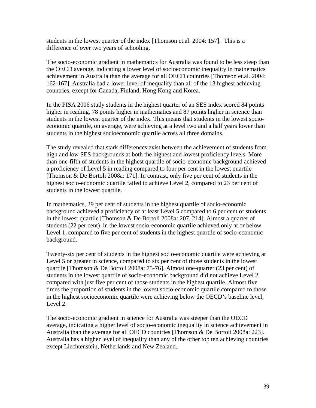students in the lowest quarter of the index [Thomson et.al. 2004: 157]. This is a difference of over two years of schooling.

The socio-economic gradient in mathematics for Australia was found to be less steep than the OECD average, indicating a lower level of socioeconomic inequality in mathematics achievement in Australia than the average for all OECD countries [Thomson et.al. 2004: 162-167]. Australia had a lower level of inequality than all of the 13 highest achieving countries, except for Canada, Finland, Hong Kong and Korea.

In the PISA 2006 study students in the highest quarter of an SES index scored 84 points higher in reading, 78 points higher in mathematics and 87 points higher in science than students in the lowest quarter of the index. This means that students in the lowest socioeconomic quartile, on average, were achieving at a level two and a half years lower than students in the highest socioeconomic quartile across all three domains.

The study revealed that stark differences exist between the achievement of students from high and low SES backgrounds at both the highest and lowest proficiency levels. More than one-fifth of students in the highest quartile of socio-economic background achieved a proficiency of Level 5 in reading compared to four per cent in the lowest quartile [Thomson & De Bortoli 2008a: 171]. In contrast, only five per cent of students in the highest socio-economic quartile failed to achieve Level 2, compared to 23 per cent of students in the lowest quartile.

In mathematics, 29 per cent of students in the highest quartile of socio-economic background achieved a proficiency of at least Level 5 compared to 6 per cent of students in the lowest quartile [Thomson & De Bortoli 2008a: 207, 214]. Almost a quarter of students (22 per cent) in the lowest socio-economic quartile achieved only at or below Level 1, compared to five per cent of students in the highest quartile of socio-economic background.

Twenty-six per cent of students in the highest socio-economic quartile were achieving at Level 5 or greater in science, compared to six per cent of those students in the lowest quartile [Thomson & De Bortoli 2008a: 75-76]. Almost one-quarter (23 per cent) of students in the lowest quartile of socio-economic background did not achieve Level 2, compared with just five per cent of those students in the highest quartile. Almost five times the proportion of students in the lowest socio-economic quartile compared to those in the highest socioeconomic quartile were achieving below the OECD's baseline level, Level 2.

The socio-economic gradient in science for Australia was steeper than the OECD average, indicating a higher level of socio-economic inequality in science achievement in Australia than the average for all OECD countries [Thomson & De Bortoli 2008a: 223]. Australia has a higher level of inequality than any of the other top ten achieving countries except Liechtenstein, Netherlands and New Zealand.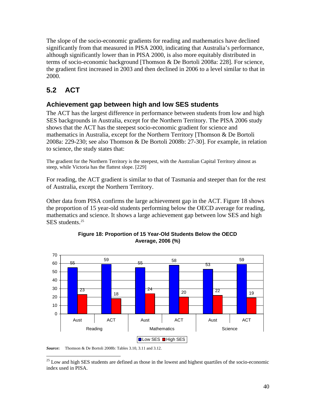<span id="page-39-0"></span>The slope of the socio-economic gradients for reading and mathematics have declined significantly from that measured in PISA 2000, indicating that Australia's performance, although significantly lower than in PISA 2000, is also more equitably distributed in terms of socio-economic background [Thomson & De Bortoli 2008a: 228]. For science, the gradient first increased in 2003 and then declined in 2006 to a level similar to that in 2000.

## **5.2 ACT**

### **Achievement gap between high and low SES students**

The ACT has the largest difference in performance between students from low and high SES backgrounds in Australia, except for the Northern Territory. The PISA 2006 study shows that the ACT has the steepest socio-economic gradient for science and mathematics in Australia, except for the Northern Territory [Thomson & De Bortoli 2008a: 229-230; see also Thomson & De Bortoli 2008b: 27-30]. For example, in relation to science, the study states that:

The gradient for the Northern Territory is the steepest, with the Australian Capital Territory almost as steep, while Victoria has the flattest slope. [229]

For reading, the ACT gradient is similar to that of Tasmania and steeper than for the rest of Australia, except the Northern Territory.

Other data from PISA confirms the large achievement gap in the ACT. Figure 18 shows the proportion of 15 year-old students performing below the OECD average for reading, mathematics and science. It shows a large achievement gap between low SES and high SES students.<sup>[25](#page-39-1)</sup>



#### **Figure 18: Proportion of 15 Year-Old Students Below the OECD Average, 2006 (%)**

*Source***:** Thomson & De Bortoli 2008b: Tables 3.10, 3.11 and 3.12.

<span id="page-39-1"></span> $\overline{a}$ <sup>25</sup> Low and high SES students are defined as those in the lowest and highest quartiles of the socio-economic index used in PISA.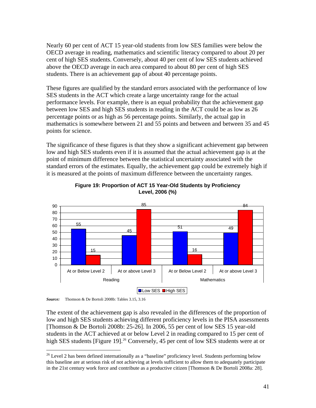Nearly 60 per cent of ACT 15 year-old students from low SES families were below the OECD average in reading, mathematics and scientific literacy compared to about 20 per cent of high SES students. Conversely, about 40 per cent of low SES students achieved above the OECD average in each area compared to about 80 per cent of high SES students. There is an achievement gap of about 40 percentage points.

These figures are qualified by the standard errors associated with the performance of low SES students in the ACT which create a large uncertainty range for the actual performance levels. For example, there is an equal probability that the achievement gap between low SES and high SES students in reading in the ACT could be as low as 26 percentage points or as high as 56 percentage points. Similarly, the actual gap in mathematics is somewhere between 21 and 55 points and between and between 35 and 45 points for science.

The significance of these figures is that they show a significant achievement gap between low and high SES students even if it is assumed that the actual achievement gap is at the point of minimum difference between the statistical uncertainty associated with the standard errors of the estimates. Equally, the achievement gap could be extremely high if it is measured at the points of maximum difference between the uncertainty ranges.



**Figure 19: Proportion of ACT 15 Year-Old Students by Proficiency Level, 2006 (%)** 

*Source:* Thomson & De Bortoli 2008b: Tables 3.15, 3.16

 $\overline{a}$ 

The extent of the achievement gap is also revealed in the differences of the proportion of low and high SES students achieving different proficiency levels in the PISA assessments [Thomson & De Bortoli 2008b: 25-26]. In 2006, 55 per cent of low SES 15 year-old students in the ACT achieved at or below Level 2 in reading compared to 15 per cent of high SES students [Figure 19].<sup>[26](#page-40-0)</sup> Conversely, 45 per cent of low SES students were at or

<span id="page-40-0"></span><sup>&</sup>lt;sup>26</sup> Level 2 has been defined internationally as a "baseline" proficiency level. Students performing below this baseline are at serious risk of not achieving at levels sufficient to allow them to adequately participate in the 21st century work force and contribute as a productive citizen [Thomson & De Bortoli 2008a: 28].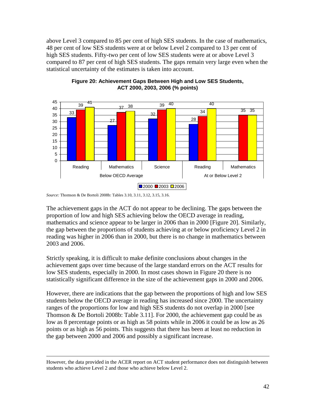above Level 3 compared to 85 per cent of high SES students. In the case of mathematics, 48 per cent of low SES students were at or below Level 2 compared to 13 per cent of high SES students. Fifty-two per cent of low SES students were at or above Level 3 compared to 87 per cent of high SES students. The gaps remain very large even when the statistical uncertainty of the estimates is taken into account.





The achievement gaps in the ACT do not appear to be declining. The gaps between the proportion of low and high SES achieving below the OECD average in reading, mathematics and science appear to be larger in 2006 than in 2000 [Figure 20]. Similarly, the gap between the proportions of students achieving at or below proficiency Level 2 in reading was higher in 2006 than in 2000, but there is no change in mathematics between 2003 and 2006.

Strictly speaking, it is difficult to make definite conclusions about changes in the achievement gaps over time because of the large standard errors on the ACT results for low SES students, especially in 2000. In most cases shown in Figure 20 there is no statistically significant difference in the size of the achievement gaps in 2000 and 2006.

However, there are indications that the gap between the proportions of high and low SES students below the OECD average in reading has increased since 2000. The uncertainty ranges of the proportions for low and high SES students do not overlap in 2000 [see Thomson & De Bortoli 2008b: Table 3.11]. For 2000, the achievement gap could be as low as 8 percentage points or as high as 58 points while in 2006 it could be as low as 26 points or as high as 56 points. This suggests that there has been at least no reduction in the gap between 2000 and 2006 and possibly a significant increase.

*Source:* Thomson & De Bortoli 2008b: Tables 3.10, 3.11, 3.12, 3.15, 3.16.

However, the data provided in the ACER report on ACT student performance does not distinguish between students who achieve Level 2 and those who achieve below Level 2.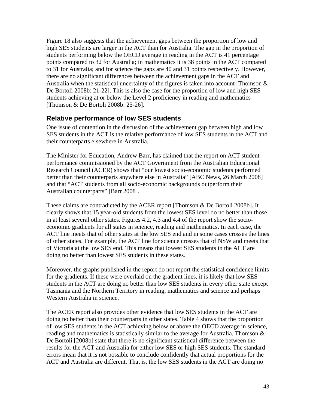Figure 18 also suggests that the achievement gaps between the proportion of low and high SES students are larger in the ACT than for Australia. The gap in the proportion of students performing below the OECD average in reading in the ACT is 41 percentage points compared to 32 for Australia; in mathematics it is 38 points in the ACT compared to 31 for Australia; and for science the gaps are 40 and 31 points respectively. However, there are no significant differences between the achievement gaps in the ACT and Australia when the statistical uncertainty of the figures is taken into account [Thomson & De Bortoli 2008b: 21-22]. This is also the case for the proportion of low and high SES students achieving at or below the Level 2 proficiency in reading and mathematics [Thomson & De Bortoli 2008b: 25-26].

#### **Relative performance of low SES students**

One issue of contention in the discussion of the achievement gap between high and low SES students in the ACT is the relative performance of low SES students in the ACT and their counterparts elsewhere in Australia.

The Minister for Education, Andrew Barr, has claimed that the report on ACT student performance commissioned by the ACT Government from the Australian Educational Research Council (ACER) shows that "our lowest socio-economic students performed better than their counterparts anywhere else in Australia" [ABC News, 26 March 2008] and that "ACT students from all socio-economic backgrounds outperform their Australian counterparts" [Barr 2008].

These claims are contradicted by the ACER report [Thomson & De Bortoli 2008b]. It clearly shows that 15 year-old students from the lowest SES level do no better than those in at least several other states. Figures 4.2, 4.3 and 4.4 of the report show the socioeconomic gradients for all states in science, reading and mathematics. In each case, the ACT line meets that of other states at the low SES end and in some cases crosses the lines of other states. For example, the ACT line for science crosses that of NSW and meets that of Victoria at the low SES end. This means that lowest SES students in the ACT are doing no better than lowest SES students in these states.

Moreover, the graphs published in the report do not report the statistical confidence limits for the gradients. If these were overlaid on the gradient lines, it is likely that low SES students in the ACT are doing no better than low SES students in every other state except Tasmania and the Northern Territory in reading, mathematics and science and perhaps Western Australia in science.

The ACER report also provides other evidence that low SES students in the ACT are doing no better than their counterparts in other states. Table 4 shows that the proportion of low SES students in the ACT achieving below or above the OECD average in science, reading and mathematics is statistically similar to the average for Australia. Thomson  $\&$ De Bortoli [2008b] state that there is no significant statistical difference between the results for the ACT and Australia for either low SES or high SES students. The standard errors mean that it is not possible to conclude confidently that actual proportions for the ACT and Australia are different. That is, the low SES students in the ACT are doing no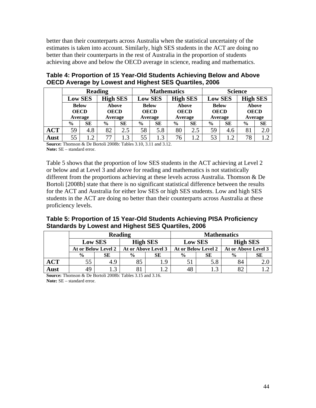better than their counterparts across Australia when the statistical uncertainty of the estimates is taken into account. Similarly, high SES students in the ACT are doing no better than their counterparts in the rest of Australia in the proportion of students achieving above and below the OECD average in science, reading and mathematics.

|            | <b>Reading</b>              |            |                 | <b>Mathematics</b> |                |             |                 | <b>Science</b> |                |             |                 |             |
|------------|-----------------------------|------------|-----------------|--------------------|----------------|-------------|-----------------|----------------|----------------|-------------|-----------------|-------------|
|            | <b>Low SES</b>              |            | <b>High SES</b> |                    | <b>Low SES</b> |             | <b>High SES</b> |                | <b>Low SES</b> |             | <b>High SES</b> |             |
|            | <b>Below</b><br><b>OECD</b> |            |                 | <b>Above</b>       | <b>Below</b>   |             |                 | <b>Above</b>   | <b>Below</b>   |             | <b>Above</b>    |             |
|            |                             |            | <b>OECD</b>     |                    |                | <b>OECD</b> |                 | <b>OECD</b>    |                | <b>OECD</b> |                 | <b>OECD</b> |
|            | Average                     |            | Average         |                    | Average        |             | Average         |                | Average        |             | Average         |             |
|            | $\frac{6}{9}$               | SЕ         | $\frac{6}{9}$   | <b>SE</b>          | $\%$           | SЕ          | $\frac{0}{0}$   | <b>SE</b>      | $\frac{6}{9}$  | <b>SE</b>   | $\frac{6}{9}$   | <b>SE</b>   |
| <b>ACT</b> | 59                          | 4.8        | 82              | 2.5                | 58             | 5.8         | 80              | 2.5            | 59             | 4.6         | 81              | 2.0         |
| Aust       | 55                          | $\cdot$ .2 | 77              | 1.3                | 55             | 1.3         | 76              | $1.2\,$        | 53             | 1.2         | 78              |             |

| Table 4: Proportion of 15 Year-Old Students Achieving Below and Above |
|-----------------------------------------------------------------------|
| OECD Average by Lowest and Highest SES Quartiles, 2006                |

**Source:** Thomson & De Bortoli 2008b: Tables 3.10, 3.11 and 3.12. **Note:** SE – standard error.

Table 5 shows that the proportion of low SES students in the ACT achieving at Level 2 or below and at Level 3 and above for reading and mathematics is not statistically different from the proportions achieving at these levels across Australia. Thomson & De Bortoli [2008b] state that there is no significant statistical difference between the results for the ACT and Australia for either low SES or high SES students. Low and high SES students in the ACT are doing no better than their counterparts across Australia at these proficiency levels.

#### **Table 5: Proportion of 15 Year-Old Students Achieving PISA Proficiency Standards by Lowest and Highest SES Quartiles, 2006**

|            |                     |                | <b>Reading</b>      |     | <b>Mathematics</b> |                     |                     |    |  |  |
|------------|---------------------|----------------|---------------------|-----|--------------------|---------------------|---------------------|----|--|--|
|            |                     | <b>Low SES</b> | <b>High SES</b>     |     | <b>Low SES</b>     |                     | <b>High SES</b>     |    |  |  |
|            | At or Below Level 2 |                | At or Above Level 3 |     |                    | At or Below Level 2 | At or Above Level 3 |    |  |  |
|            | $\frac{6}{9}$       | SЕ             | $\frac{0}{0}$       | SЕ  | $\frac{0}{0}$      | SЕ                  | $\frac{0}{0}$       | SЕ |  |  |
| <b>ACT</b> | 55                  | 4.9            |                     | l 9 |                    | 5.8                 | 84                  |    |  |  |
| Aust       | 49                  | $\sqrt{2}$     |                     | ⌒   | 48                 | $\sqrt{2}$          | 82                  |    |  |  |

**Source:** Thomson & De Bortoli 2008b: Tables 3.15 and 3.16. **Note:** SE – standard error.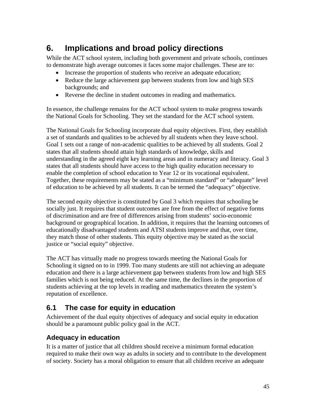## <span id="page-44-0"></span>**6. Implications and broad policy directions**

While the ACT school system, including both government and private schools, continues to demonstrate high average outcomes it faces some major challenges. These are to:

- Increase the proportion of students who receive an adequate education;
- Reduce the large achievement gap between students from low and high SES backgrounds; and
- Reverse the decline in student outcomes in reading and mathematics.

In essence, the challenge remains for the ACT school system to make progress towards the National Goals for Schooling. They set the standard for the ACT school system.

The National Goals for Schooling incorporate dual equity objectives. First, they establish a set of standards and qualities to be achieved by all students when they leave school. Goal 1 sets out a range of non-academic qualities to be achieved by all students. Goal 2 states that all students should attain high standards of knowledge, skills and understanding in the agreed eight key learning areas and in numeracy and literacy. Goal 3 states that all students should have access to the high quality education necessary to enable the completion of school education to Year 12 or its vocational equivalent. Together, these requirements may be stated as a "minimum standard" or "adequate" level of education to be achieved by all students. It can be termed the "adequacy" objective.

The second equity objective is constituted by Goal 3 which requires that schooling be socially just. It requires that student outcomes are free from the effect of negative forms of discrimination and are free of differences arising from students' socio-economic background or geographical location. In addition, it requires that the learning outcomes of educationally disadvantaged students and ATSI students improve and that, over time, they match those of other students. This equity objective may be stated as the social justice or "social equity" objective.

The ACT has virtually made no progress towards meeting the National Goals for Schooling it signed on to in 1999. Too many students are still not achieving an adequate education and there is a large achievement gap between students from low and high SES families which is not being reduced. At the same time, the declines in the proportion of students achieving at the top levels in reading and mathematics threaten the system's reputation of excellence.

### **6.1 The case for equity in education**

Achievement of the dual equity objectives of adequacy and social equity in education should be a paramount public policy goal in the ACT.

### **Adequacy in education**

It is a matter of justice that all children should receive a minimum formal education required to make their own way as adults in society and to contribute to the development of society. Society has a moral obligation to ensure that all children receive an adequate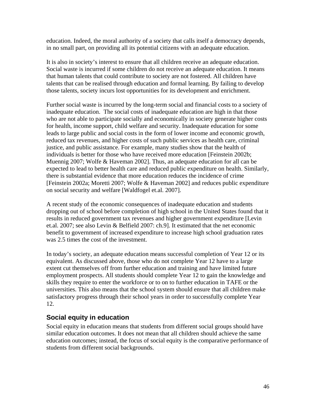education. Indeed, the moral authority of a society that calls itself a democracy depends, in no small part, on providing all its potential citizens with an adequate education.

It is also in society's interest to ensure that all children receive an adequate education. Social waste is incurred if some children do not receive an adequate education. It means that human talents that could contribute to society are not fostered. All children have talents that can be realised through education and formal learning. By failing to develop those talents, society incurs lost opportunities for its development and enrichment.

Further social waste is incurred by the long-term social and financial costs to a society of inadequate education. The social costs of inadequate education are high in that those who are not able to participate socially and economically in society generate higher costs for health, income support, child welfare and security. Inadequate education for some leads to large public and social costs in the form of lower income and economic growth, reduced tax revenues, and higher costs of such public services as health care, criminal justice, and public assistance. For example, many studies show that the health of individuals is better for those who have received more education [Feinstein 2002b; Muennig 2007; Wolfe & Haveman 2002]. Thus, an adequate education for all can be expected to lead to better health care and reduced public expenditure on health. Similarly, there is substantial evidence that more education reduces the incidence of crime [Feinstein 2002a; Moretti 2007; Wolfe & Haveman 2002] and reduces public expenditure on social security and welfare [Waldfogel et.al. 2007].

A recent study of the economic consequences of inadequate education and students dropping out of school before completion of high school in the United States found that it results in reduced government tax revenues and higher government expenditure [Levin et.al. 2007; see also Levin & Belfield 2007: ch.9]. It estimated that the net economic benefit to government of increased expenditure to increase high school graduation rates was 2.5 times the cost of the investment.

In today's society, an adequate education means successful completion of Year 12 or its equivalent. As discussed above, those who do not complete Year 12 have to a large extent cut themselves off from further education and training and have limited future employment prospects. All students should complete Year 12 to gain the knowledge and skills they require to enter the workforce or to on to further education in TAFE or the universities. This also means that the school system should ensure that all children make satisfactory progress through their school years in order to successfully complete Year 12.

#### **Social equity in education**

Social equity in education means that students from different social groups should have similar education outcomes. It does not mean that all children should achieve the same education outcomes; instead, the focus of social equity is the comparative performance of students from different social backgrounds.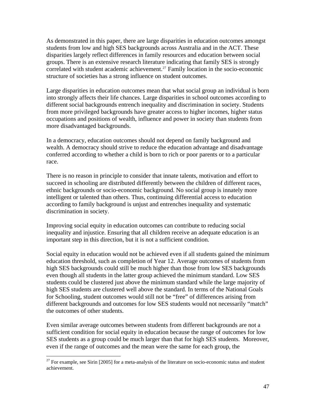As demonstrated in this paper, there are large disparities in education outcomes amongst students from low and high SES backgrounds across Australia and in the ACT. These disparities largely reflect differences in family resources and education between social groups. There is an extensive research literature indicating that family SES is strongly correlated with student academic achievement.<sup>[27](#page-46-0)</sup> Family location in the socio-economic structure of societies has a strong influence on student outcomes.

Large disparities in education outcomes mean that what social group an individual is born into strongly affects their life chances. Large disparities in school outcomes according to different social backgrounds entrench inequality and discrimination in society. Students from more privileged backgrounds have greater access to higher incomes, higher status occupations and positions of wealth, influence and power in society than students from more disadvantaged backgrounds.

In a democracy, education outcomes should not depend on family background and wealth. A democracy should strive to reduce the education advantage and disadvantage conferred according to whether a child is born to rich or poor parents or to a particular race.

There is no reason in principle to consider that innate talents, motivation and effort to succeed in schooling are distributed differently between the children of different races, ethnic backgrounds or socio-economic background. No social group is innately more intelligent or talented than others. Thus, continuing differential access to education according to family background is unjust and entrenches inequality and systematic discrimination in society.

Improving social equity in education outcomes can contribute to reducing social inequality and injustice. Ensuring that all children receive an adequate education is an important step in this direction, but it is not a sufficient condition.

Social equity in education would not be achieved even if all students gained the minimum education threshold, such as completion of Year 12. Average outcomes of students from high SES backgrounds could still be much higher than those from low SES backgrounds even though all students in the latter group achieved the minimum standard. Low SES students could be clustered just above the minimum standard while the large majority of high SES students are clustered well above the standard. In terms of the National Goals for Schooling, student outcomes would still not be "free" of differences arising from different backgrounds and outcomes for low SES students would not necessarily "match" the outcomes of other students.

Even similar average outcomes between students from different backgrounds are not a sufficient condition for social equity in education because the range of outcomes for low SES students as a group could be much larger than that for high SES students. Moreover, even if the range of outcomes and the mean were the same for each group, the

<span id="page-46-0"></span> $27$  For example, see Sirin [2005] for a meta-analysis of the literature on socio-economic status and student achievement.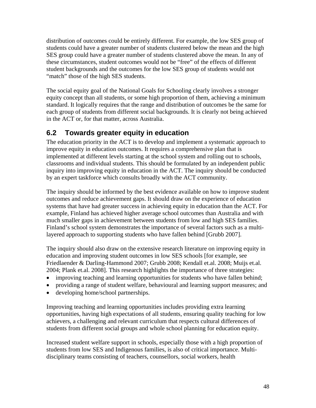<span id="page-47-0"></span>distribution of outcomes could be entirely different. For example, the low SES group of students could have a greater number of students clustered below the mean and the high SES group could have a greater number of students clustered above the mean. In any of these circumstances, student outcomes would not be "free" of the effects of different student backgrounds and the outcomes for the low SES group of students would not "match" those of the high SES students.

The social equity goal of the National Goals for Schooling clearly involves a stronger equity concept than all students, or some high proportion of them, achieving a minimum standard. It logically requires that the range and distribution of outcomes be the same for each group of students from different social backgrounds. It is clearly not being achieved in the ACT or, for that matter, across Australia.

### **6.2 Towards greater equity in education**

The education priority in the ACT is to develop and implement a systematic approach to improve equity in education outcomes. It requires a comprehensive plan that is implemented at different levels starting at the school system and rolling out to schools, classrooms and individual students. This should be formulated by an independent public inquiry into improving equity in education in the ACT. The inquiry should be conducted by an expert taskforce which consults broadly with the ACT community.

The inquiry should be informed by the best evidence available on how to improve student outcomes and reduce achievement gaps. It should draw on the experience of education systems that have had greater success in achieving equity in education than the ACT. For example, Finland has achieved higher average school outcomes than Australia and with much smaller gaps in achievement between students from low and high SES families. Finland's school system demonstrates the importance of several factors such as a multilayered approach to supporting students who have fallen behind [Grubb 2007].

The inquiry should also draw on the extensive research literature on improving equity in education and improving student outcomes in low SES schools [for example, see Friedlaender & Darling-Hammond 2007; Grubb 2008; Kendall et.al. 2008; Muijs et.al. 2004; Plank et.al. 2008]. This research highlights the importance of three strategies:

- improving teaching and learning opportunities for students who have fallen behind;
- providing a range of student welfare, behavioural and learning support measures; and
- developing home/school partnerships.

Improving teaching and learning opportunities includes providing extra learning opportunities, having high expectations of all students, ensuring quality teaching for low achievers, a challenging and relevant curriculum that respects cultural differences of students from different social groups and whole school planning for education equity.

Increased student welfare support in schools, especially those with a high proportion of students from low SES and Indigenous families, is also of critical importance. Multidisciplinary teams consisting of teachers, counsellors, social workers, health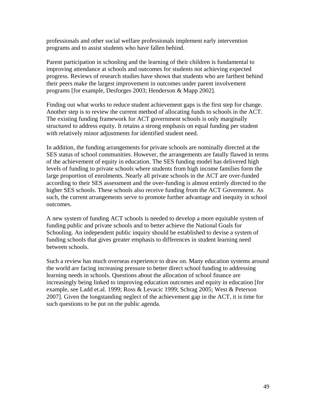professionals and other social welfare professionals implement early intervention programs and to assist students who have fallen behind.

Parent participation in schooling and the learning of their children is fundamental to improving attendance at schools and outcomes for students not achieving expected progress. Reviews of research studies have shown that students who are farthest behind their peers make the largest improvement in outcomes under parent involvement programs [for example, Desforges 2003; Henderson & Mapp 2002].

Finding out what works to reduce student achievement gaps is the first step for change. Another step is to review the current method of allocating funds to schools in the ACT. The existing funding framework for ACT government schools is only marginally structured to address equity. It retains a strong emphasis on equal funding per student with relatively minor adjustments for identified student need.

In addition, the funding arrangements for private schools are nominally directed at the SES status of school communities. However, the arrangements are fatally flawed in terms of the achievement of equity in education. The SES funding model has delivered high levels of funding to private schools where students from high income families form the large proportion of enrolments. Nearly all private schools in the ACT are over-funded according to their SES assessment and the over-funding is almost entirely directed to the higher SES schools. These schools also receive funding from the ACT Government. As such, the current arrangements serve to promote further advantage and inequity in school outcomes.

A new system of funding ACT schools is needed to develop a more equitable system of funding public and private schools and to better achieve the National Goals for Schooling. An independent public inquiry should be established to devise a system of funding schools that gives greater emphasis to differences in student learning need between schools.

Such a review has much overseas experience to draw on. Many education systems around the world are facing increasing pressure to better direct school funding to addressing learning needs in schools. Questions about the allocation of school finance are increasingly being linked to improving education outcomes and equity in education [for example, see Ladd et.al. 1999; Ross & Levacic 1999; Schrag 2005; West & Peterson 2007]. Given the longstanding neglect of the achievement gap in the ACT, it is time for such questions to be put on the public agenda.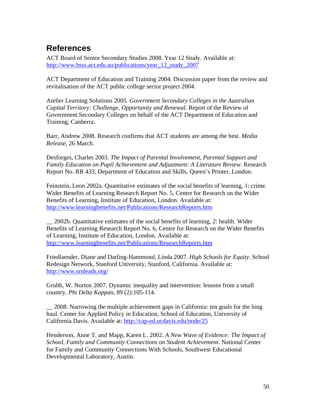## <span id="page-49-0"></span>**References**

ACT Board of Senior Secondary Studies 2008. Year 12 Study. Available at: [http://www.bsss.act.edu.au/publications/year\\_12\\_study\\_2007](http://www.bsss.act.edu.au/publications/year_12_study_2007)

ACT Department of Education and Training 2004. Discussion paper from the review and revitalisation of the ACT public college sector project 2004.

Atelier Learning Solutions 2005. *Government Secondary Colleges in the Australian Capital Territory: Challenge, Opportunity and Renewal.* Report of the Review of Government Secondary Colleges on behalf of the ACT Department of Education and Training, Canberra.

Barr, Andrew 2008. Research confirms that ACT students are among the best. *Media Release*, 26 March.

Desforges, Charles 2003. *The Impact of Parental Involvement, Parental Support and Family Education on Pupil Achievement and Adjustment: A Literature Review*. Research Report No. RR 433, Department of Education and Skills, Queen's Printer, London.

Feinstein, Leon 2002a. Quantitative estimates of the social benefits of learning, 1: crime. Wider Benefits of Learning Research Report No. 5, Centre for Research on the Wider Benefits of Learning, Institute of Education, London. Available at: <http://www.learningbenefits.net/Publications/ResearchReports.htm>

\_\_ 2002b. Quantitative estimates of the social benefits of learning, 2: health. Wider Benefits of Learning Research Report No. 6, Centre for Research on the Wider Benefits of Learning, Institute of Education, London. Available at: <http://www.learningbenefits.net/Publications/ResearchReports.htm>

Friedlaender, Diane and Darling-Hammond, Linda 2007. *High Schools for Equity*. School Redesign Network, Stanford University, Stanford, California. Available at: <http://www.srnleads.org/>

Grubb, W. Norton 2007. Dynamic inequality and intervention: lessons from a small country. *Phi Delta Kappan*, 89 (2):105-114.

\_\_ 2008. Narrowing the multiple achievement gaps in California: ten goals for the long haul. Center for Applied Policy in Education, School of Education, University of California Davis. Available at:<http://cap-ed.ucdavis.edu/node/25>

Henderson, Anne T. and Mapp, Karen L. 2002. *A New Wave of Evidence: The Impact of School, Family and Community Connections on Student Achievement*. National Center for Family and Community Connections With Schools, Southwest Educational Developmental Laboratory, Austin.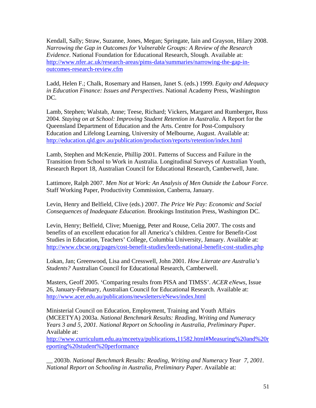Kendall, Sally; Straw, Suzanne, Jones, Megan; Springate, Iain and Grayson, Hilary 2008. *Narrowing the Gap in Outcomes for Vulnerable Groups: A Review of the Research Evidence*. National Foundation for Educational Research, Slough. Available at: [http://www.nfer.ac.uk/research-areas/pims-data/summaries/narrowing-the-gap-in](http://www.nfer.ac.uk/research-areas/pims-data/summaries/narrowing-the-gap-in-outcomes-research-review.cfm)[outcomes-research-review.cfm](http://www.nfer.ac.uk/research-areas/pims-data/summaries/narrowing-the-gap-in-outcomes-research-review.cfm)

Ladd, Helen F.; Chalk, Rosemary and Hansen, Janet S. (eds.) 1999. *Equity and Adequacy in Education Finance: Issues and Perspectives*. National Academy Press, Washington DC.

Lamb, Stephen; Walstab, Anne; Teese, Richard; Vickers, Margaret and Rumberger**,** Russ 2004. *Staying on at School: Improving Student Retention in Australia*. A Report for the Queensland Department of Education and the Arts. Centre for Post-Compulsory Education and Lifelong Learning, University of Melbourne, August. Available at: <http://education.qld.gov.au/publication/production/reports/retention/index.html>

Lamb, Stephen and McKenzie, Phillip 2001. Patterns of Success and Failure in the Transition from School to Work in Australia. Longitudinal Surveys of Australian Youth, Research Report 18, Australian Council for Educational Research, Camberwell, June.

Lattimore, Ralph 2007. *Men Not at Work: An Analysis of Men Outside the Labour Force*. Staff Working Paper, Productivity Commission, Canberra, January.

Levin, Henry and Belfield, Clive (eds.) 2007. *The Price We Pay: Economic and Social Consequences of Inadequate Education.* Brookings Institution Press, Washington DC.

Levin, Henry; Belfield, Clive; Muenigg, Peter and Rouse, Celia 2007. The costs and benefits of an excellent education for all America's children. Centre for Benefit-Cost Studies in Education, Teachers' College, Columbia University, January. Available at: <http://www.cbcse.org/pages/cost-benefit-studies/leeds-national-benefit-cost-studies.php>

Lokan, Jan; Greenwood, Lisa and Cresswell, John 2001. *How Literate are Australia's Students?* Australian Council for Educational Research, Camberwell.

Masters, Geoff 2005. 'Comparing results from PISA and TIMSS'. *ACER eNews*, Issue 26, January-February, Australian Council for Educational Research. Available at: <http://www.acer.edu.au/publications/newsletters/eNews/index.html>

Ministerial Council on Education, Employment, Training and Youth Affairs (MCEETYA) 2003a. *National Benchmark Results: Reading, Writing and Numeracy Years 3 and 5, 2001. National Report on Schooling in Australia, Preliminary Paper*. Available at:

[http://www.curriculum.edu.au/mceetya/publications,11582.html#Measuring%20and%20r](http://www.curriculum.edu.au/mceetya/publications,11582.html#Measuring%20and%20reporting%20student%20performance) [eporting%20student%20performance](http://www.curriculum.edu.au/mceetya/publications,11582.html#Measuring%20and%20reporting%20student%20performance)

\_\_ 2003b. *National Benchmark Results: Reading, Writing and Numeracy Year 7, 2001. National Report on Schooling in Australia, Preliminary Paper*. Available at: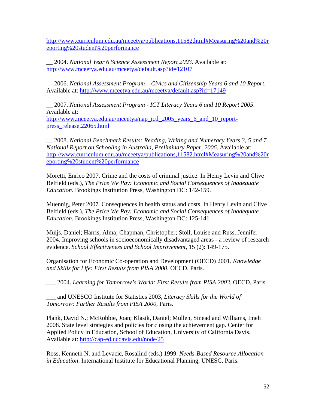[http://www.curriculum.edu.au/mceetya/publications,11582.html#Measuring%20and%20r](http://www.curriculum.edu.au/mceetya/publications,11582.html#Measuring%20and%20reporting%20student%20performance) [eporting%20student%20performance](http://www.curriculum.edu.au/mceetya/publications,11582.html#Measuring%20and%20reporting%20student%20performance)

\_\_ 2004. *National Year 6 Science Assessment Report 2003*. Available at: <http://www.mceetya.edu.au/mceetya/default.asp?id=12107>

\_\_ 2006. *National Assessment Program – Civics and Citizenship Years 6 and 10 Report*. Available at: <http://www.mceetya.edu.au/mceetya/default.asp?id=17149>

\_\_ 2007. *National Assessment Program - ICT Literacy Years 6 and 10 Report 2005*. Available at: [http://www.mceetya.edu.au/mceetya/nap\\_ictl\\_2005\\_years\\_6\\_and\\_10\\_report](http://www.mceetya.edu.au/mceetya/nap_ictl_2005_years_6_and_10_report-press_release,22065.html)[press\\_release,22065.html](http://www.mceetya.edu.au/mceetya/nap_ictl_2005_years_6_and_10_report-press_release,22065.html) 

\_\_ 2008. *National Benchmark Results: Reading, Writing and Numeracy Years 3, 5 and 7. National Report on Schooling in Australia, Preliminary Paper, 2006*. Available at: [http://www.curriculum.edu.au/mceetya/publications,11582.html#Measuring%20and%20r](http://www.curriculum.edu.au/mceetya/publications,11582.html#Measuring%20and%20reporting%20student%20performance) [eporting%20student%20performance](http://www.curriculum.edu.au/mceetya/publications,11582.html#Measuring%20and%20reporting%20student%20performance)

Moretti, Enrico 2007. Crime and the costs of criminal justice. In Henry Levin and Clive Belfield (eds.), *The Price We Pay: Economic and Social Consequences of Inadequate Education.* Brookings Institution Press, Washington DC: 142-159.

Muennig, Peter 2007. Consequences in health status and costs. In Henry Levin and Clive Belfield (eds.), *The Price We Pay: Economic and Social Consequences of Inadequate Education.* Brookings Institution Press, Washington DC: 125-141.

Muijs, Daniel; Harris, Alma; Chapman, Christopher; Stoll, Louise and Russ, Jennifer 2004. Improving schools in socioeconomically disadvantaged areas - a review of research evidence. *School Effectiveness and School Improvement*, 15 (2): 149-175.

Organisation for Economic Co-operation and Development (OECD) 2001. *Knowledge and Skills for Life: First Results from PISA 2000*, OECD, Paris.

\_\_\_ 2004. *Learning for Tomorrow's World: First Results from PISA 2003*. OECD, Paris.

\_\_\_ and UNESCO Institute for Statistics 2003, *[Literacy Skills for the World of](http://www.pisa.oecd.org/Publicatn/Literacy.htm)  [Tomorrow: Further Results from PISA 2000](http://www.pisa.oecd.org/Publicatn/Literacy.htm)*, Paris.

Plank, David N.; McRobbie, Joan; Klasik, Daniel; Mullen, Sinead and Williams, Imeh 2008. State level strategies and policies for closing the achievement gap. Center for Applied Policy in Education, School of Education, University of California Davis. Available at: <http://cap-ed.ucdavis.edu/node/25>

Ross, Kenneth N. and Levacic, Rosalind (eds.) 1999. *Needs-Based Resource Allocation in Education*. International Institute for Educational Planning, UNESC, Paris.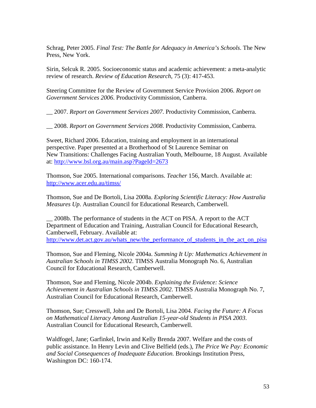Schrag, Peter 2005. *Final Test: The Battle for Adequacy in America's Schools*. The New Press, New York.

Sirin, Selcuk R. 2005. Socioeconomic status and academic achievement: a meta-analytic review of research. *Review of Education Research*, 75 (3): 417-453.

Steering Committee for the Review of Government Service Provision 2006. *Report on Government Services 2006*. Productivity Commission, Canberra.

\_\_ 2007. *Report on Government Services 2007*. Productivity Commission, Canberra.

\_\_ 2008. *Report on Government Services 2008*. Productivity Commission, Canberra.

Sweet, Richard 2006. Education, training and employment in an international perspective. Paper presented at a Brotherhood of St Laurence Seminar on New Transitions: Challenges Facing Australian Youth, Melbourne, 18 August. Available at:<http://www.bsl.org.au/main.asp?PageId=2673>

Thomson, Sue 2005. International comparisons. *Teacher* 156, March. Available at: <http://www.acer.edu.au/timss/>

Thomson, Sue and De Bortoli, Lisa 2008a. *Exploring Scientific Literacy: How Australia Measures Up*. Australian Council for Educational Research, Camberwell.

\_\_ 2008b. The performance of students in the ACT on PISA. A report to the ACT Department of Education and Training, Australian Council for Educational Research, Camberwell, February. Available at: [http://www.det.act.gov.au/whats\\_new/the\\_performance\\_of\\_students\\_in\\_the\\_act\\_on\\_pisa](http://www.det.act.gov.au/whats_new/the_performance_of_students_in_the_act_on_pisa)

Thomson, Sue and Fleming, Nicole 2004a. *Summing It Up: Mathematics Achievement in Australian Schools in TIMSS 2002*. TIMSS Australia Monograph No. 6, Australian Council for Educational Research, Camberwell.

Thomson, Sue and Fleming, Nicole 2004b. *Explaining the Evidence: Science Achievement in Australian Schools in TIMSS 2002*. TIMSS Australia Monograph No. 7, Australian Council for Educational Research, Camberwell.

Thomson, Sue; Cresswell, John and De Bortoli, Lisa 2004. *Facing the Future: A Focus on Mathematical Literacy Among Australian 15-year-old Students in PISA 2003*. Australian Council for Educational Research, Camberwell.

Waldfogel, Jane; Garfinkel, Irwin and Kelly Brenda 2007. Welfare and the costs of public assistance. In Henry Levin and Clive Belfield (eds.), *The Price We Pay: Economic and Social Consequences of Inadequate Education.* Brookings Institution Press, Washington DC: 160-174.